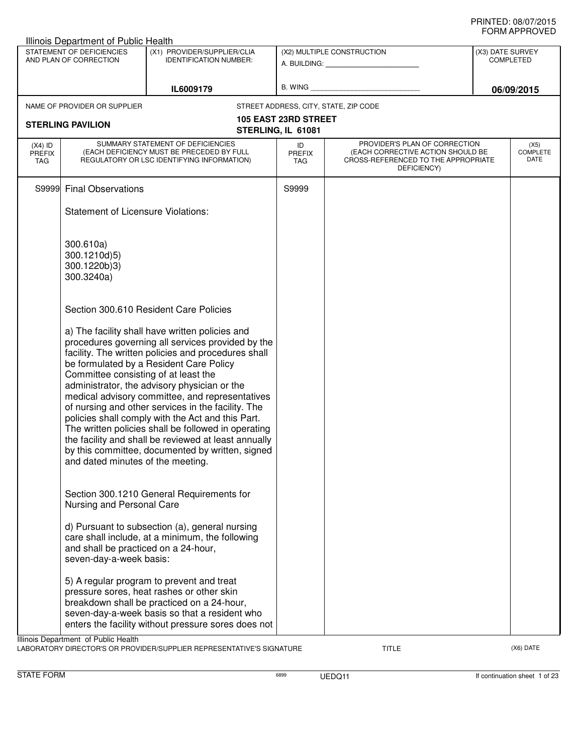| Illinois Department of Public Health |                                                                           |                                                                                                                                                                                                                                                                                                                                                                                                                                                                                                                                                                                         |                                                   |                                                                                                                          |                                      |                                 |
|--------------------------------------|---------------------------------------------------------------------------|-----------------------------------------------------------------------------------------------------------------------------------------------------------------------------------------------------------------------------------------------------------------------------------------------------------------------------------------------------------------------------------------------------------------------------------------------------------------------------------------------------------------------------------------------------------------------------------------|---------------------------------------------------|--------------------------------------------------------------------------------------------------------------------------|--------------------------------------|---------------------------------|
|                                      | STATEMENT OF DEFICIENCIES<br>AND PLAN OF CORRECTION                       | (X1) PROVIDER/SUPPLIER/CLIA<br><b>IDENTIFICATION NUMBER:</b>                                                                                                                                                                                                                                                                                                                                                                                                                                                                                                                            |                                                   | (X2) MULTIPLE CONSTRUCTION                                                                                               | (X3) DATE SURVEY<br><b>COMPLETED</b> |                                 |
|                                      |                                                                           | IL6009179                                                                                                                                                                                                                                                                                                                                                                                                                                                                                                                                                                               |                                                   |                                                                                                                          |                                      | 06/09/2015                      |
|                                      | NAME OF PROVIDER OR SUPPLIER                                              |                                                                                                                                                                                                                                                                                                                                                                                                                                                                                                                                                                                         |                                                   | STREET ADDRESS, CITY, STATE, ZIP CODE                                                                                    |                                      |                                 |
|                                      | <b>STERLING PAVILION</b>                                                  |                                                                                                                                                                                                                                                                                                                                                                                                                                                                                                                                                                                         | <b>105 EAST 23RD STREET</b><br>STERLING, IL 61081 |                                                                                                                          |                                      |                                 |
| $(X4)$ ID<br><b>PREFIX</b><br>TAG    |                                                                           | SUMMARY STATEMENT OF DEFICIENCIES<br>(EACH DEFICIENCY MUST BE PRECEDED BY FULL<br>REGULATORY OR LSC IDENTIFYING INFORMATION)                                                                                                                                                                                                                                                                                                                                                                                                                                                            | ID<br><b>PREFIX</b><br>TAG                        | PROVIDER'S PLAN OF CORRECTION<br>(EACH CORRECTIVE ACTION SHOULD BE<br>CROSS-REFERENCED TO THE APPROPRIATE<br>DEFICIENCY) |                                      | (X5)<br><b>COMPLETE</b><br>DATE |
| S9999                                | <b>Final Observations</b>                                                 |                                                                                                                                                                                                                                                                                                                                                                                                                                                                                                                                                                                         | S9999                                             |                                                                                                                          |                                      |                                 |
|                                      | <b>Statement of Licensure Violations:</b>                                 |                                                                                                                                                                                                                                                                                                                                                                                                                                                                                                                                                                                         |                                                   |                                                                                                                          |                                      |                                 |
|                                      | 300.610a)<br>300.1210d)5)<br>300.1220b)3)<br>300.3240a)                   |                                                                                                                                                                                                                                                                                                                                                                                                                                                                                                                                                                                         |                                                   |                                                                                                                          |                                      |                                 |
|                                      |                                                                           | Section 300.610 Resident Care Policies                                                                                                                                                                                                                                                                                                                                                                                                                                                                                                                                                  |                                                   |                                                                                                                          |                                      |                                 |
|                                      | Committee consisting of at least the<br>and dated minutes of the meeting. | a) The facility shall have written policies and<br>procedures governing all services provided by the<br>facility. The written policies and procedures shall<br>be formulated by a Resident Care Policy<br>administrator, the advisory physician or the<br>medical advisory committee, and representatives<br>of nursing and other services in the facility. The<br>policies shall comply with the Act and this Part.<br>The written policies shall be followed in operating<br>the facility and shall be reviewed at least annually<br>by this committee, documented by written, signed |                                                   |                                                                                                                          |                                      |                                 |
|                                      | Nursing and Personal Care                                                 | Section 300.1210 General Requirements for                                                                                                                                                                                                                                                                                                                                                                                                                                                                                                                                               |                                                   |                                                                                                                          |                                      |                                 |
|                                      | and shall be practiced on a 24-hour,<br>seven-day-a-week basis:           | d) Pursuant to subsection (a), general nursing<br>care shall include, at a minimum, the following                                                                                                                                                                                                                                                                                                                                                                                                                                                                                       |                                                   |                                                                                                                          |                                      |                                 |
|                                      |                                                                           | 5) A regular program to prevent and treat<br>pressure sores, heat rashes or other skin<br>breakdown shall be practiced on a 24-hour,<br>seven-day-a-week basis so that a resident who<br>enters the facility without pressure sores does not                                                                                                                                                                                                                                                                                                                                            |                                                   |                                                                                                                          |                                      |                                 |
|                                      | Illinois Department of Public Health                                      | LABORATORY DIRECTOR'S OR PROVIDER/SUPPLIER REPRESENTATIVE'S SIGNATURE                                                                                                                                                                                                                                                                                                                                                                                                                                                                                                                   |                                                   | <b>TITLE</b>                                                                                                             |                                      | (X6) DATE                       |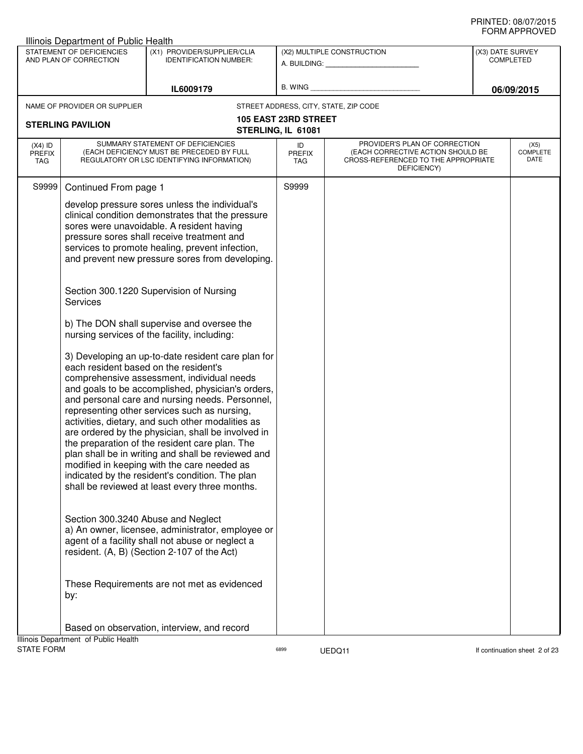|                                          | Illinois Department of Public Health                                              |                                                                                                                                                                                                                                                                                                                                                                                                                                                                                                                                                                                                                                                                                                                                                                                                                                                                                                                              |                                                   |                                                                                                                          |                  |                                 |
|------------------------------------------|-----------------------------------------------------------------------------------|------------------------------------------------------------------------------------------------------------------------------------------------------------------------------------------------------------------------------------------------------------------------------------------------------------------------------------------------------------------------------------------------------------------------------------------------------------------------------------------------------------------------------------------------------------------------------------------------------------------------------------------------------------------------------------------------------------------------------------------------------------------------------------------------------------------------------------------------------------------------------------------------------------------------------|---------------------------------------------------|--------------------------------------------------------------------------------------------------------------------------|------------------|---------------------------------|
|                                          | STATEMENT OF DEFICIENCIES<br>AND PLAN OF CORRECTION                               | (X1) PROVIDER/SUPPLIER/CLIA                                                                                                                                                                                                                                                                                                                                                                                                                                                                                                                                                                                                                                                                                                                                                                                                                                                                                                  |                                                   | (X2) MULTIPLE CONSTRUCTION                                                                                               | (X3) DATE SURVEY |                                 |
|                                          |                                                                                   | <b>IDENTIFICATION NUMBER:</b>                                                                                                                                                                                                                                                                                                                                                                                                                                                                                                                                                                                                                                                                                                                                                                                                                                                                                                |                                                   | A. BUILDING: A. BUILDING:                                                                                                |                  | <b>COMPLETED</b>                |
|                                          |                                                                                   | IL6009179                                                                                                                                                                                                                                                                                                                                                                                                                                                                                                                                                                                                                                                                                                                                                                                                                                                                                                                    | B. WING                                           |                                                                                                                          |                  | 06/09/2015                      |
|                                          |                                                                                   |                                                                                                                                                                                                                                                                                                                                                                                                                                                                                                                                                                                                                                                                                                                                                                                                                                                                                                                              |                                                   |                                                                                                                          |                  |                                 |
|                                          | NAME OF PROVIDER OR SUPPLIER                                                      |                                                                                                                                                                                                                                                                                                                                                                                                                                                                                                                                                                                                                                                                                                                                                                                                                                                                                                                              |                                                   | STREET ADDRESS, CITY, STATE, ZIP CODE                                                                                    |                  |                                 |
|                                          | <b>STERLING PAVILION</b>                                                          |                                                                                                                                                                                                                                                                                                                                                                                                                                                                                                                                                                                                                                                                                                                                                                                                                                                                                                                              | <b>105 EAST 23RD STREET</b><br>STERLING, IL 61081 |                                                                                                                          |                  |                                 |
| $(X4)$ ID<br><b>PREFIX</b><br><b>TAG</b> |                                                                                   | SUMMARY STATEMENT OF DEFICIENCIES<br>(EACH DEFICIENCY MUST BE PRECEDED BY FULL<br>REGULATORY OR LSC IDENTIFYING INFORMATION)                                                                                                                                                                                                                                                                                                                                                                                                                                                                                                                                                                                                                                                                                                                                                                                                 | ID<br><b>PREFIX</b><br>TAG                        | PROVIDER'S PLAN OF CORRECTION<br>(EACH CORRECTIVE ACTION SHOULD BE<br>CROSS-REFERENCED TO THE APPROPRIATE<br>DEFICIENCY) |                  | (X5)<br><b>COMPLETE</b><br>DATE |
| S9999                                    | Continued From page 1<br><b>Services</b><br>each resident based on the resident's | develop pressure sores unless the individual's<br>clinical condition demonstrates that the pressure<br>sores were unavoidable. A resident having<br>pressure sores shall receive treatment and<br>services to promote healing, prevent infection,<br>and prevent new pressure sores from developing.<br>Section 300.1220 Supervision of Nursing<br>b) The DON shall supervise and oversee the<br>nursing services of the facility, including:<br>3) Developing an up-to-date resident care plan for<br>comprehensive assessment, individual needs<br>and goals to be accomplished, physician's orders,<br>and personal care and nursing needs. Personnel,<br>representing other services such as nursing,<br>activities, dietary, and such other modalities as<br>are ordered by the physician, shall be involved in<br>the preparation of the resident care plan. The<br>plan shall be in writing and shall be reviewed and | S9999                                             |                                                                                                                          |                  |                                 |
|                                          | Section 300.3240 Abuse and Neglect<br>by:                                         | modified in keeping with the care needed as<br>indicated by the resident's condition. The plan<br>shall be reviewed at least every three months.<br>a) An owner, licensee, administrator, employee or<br>agent of a facility shall not abuse or neglect a<br>resident. (A, B) (Section 2-107 of the Act)<br>These Requirements are not met as evidenced<br>Based on observation, interview, and record                                                                                                                                                                                                                                                                                                                                                                                                                                                                                                                       |                                                   |                                                                                                                          |                  |                                 |
|                                          | Illinois Department of Public Health                                              |                                                                                                                                                                                                                                                                                                                                                                                                                                                                                                                                                                                                                                                                                                                                                                                                                                                                                                                              |                                                   |                                                                                                                          |                  |                                 |
| <b>STATE FORM</b>                        |                                                                                   |                                                                                                                                                                                                                                                                                                                                                                                                                                                                                                                                                                                                                                                                                                                                                                                                                                                                                                                              | 6899                                              | UEDQ11                                                                                                                   |                  | If continuation sheet 2 of 23   |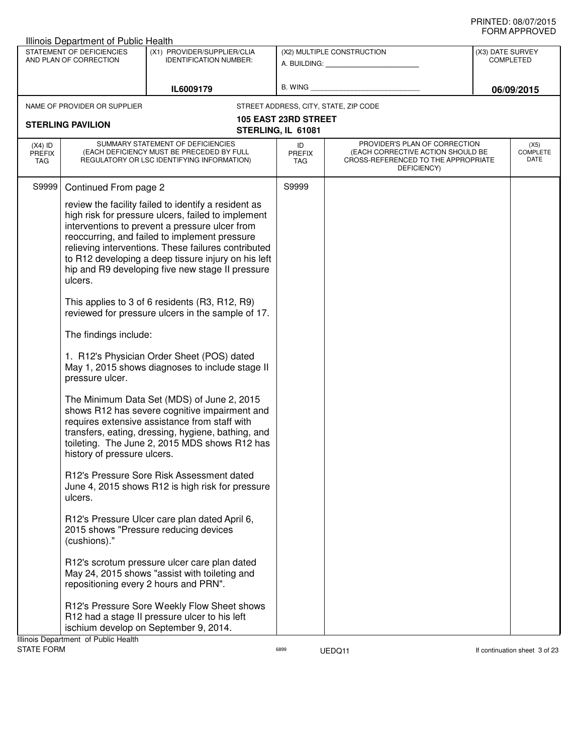|                                   | Illinois Department of Public Health                                                                             |                                                                                                                                                                                                                                                                                                                                                                                 |                                   |                                                                                                                          |                                      |                                 |
|-----------------------------------|------------------------------------------------------------------------------------------------------------------|---------------------------------------------------------------------------------------------------------------------------------------------------------------------------------------------------------------------------------------------------------------------------------------------------------------------------------------------------------------------------------|-----------------------------------|--------------------------------------------------------------------------------------------------------------------------|--------------------------------------|---------------------------------|
|                                   | STATEMENT OF DEFICIENCIES<br>AND PLAN OF CORRECTION                                                              | (X1) PROVIDER/SUPPLIER/CLIA<br><b>IDENTIFICATION NUMBER:</b>                                                                                                                                                                                                                                                                                                                    |                                   | (X2) MULTIPLE CONSTRUCTION<br>A. BUILDING: A. BUILDING:                                                                  | (X3) DATE SURVEY<br><b>COMPLETED</b> |                                 |
|                                   |                                                                                                                  |                                                                                                                                                                                                                                                                                                                                                                                 |                                   |                                                                                                                          |                                      |                                 |
|                                   |                                                                                                                  | IL6009179                                                                                                                                                                                                                                                                                                                                                                       | B. WING                           |                                                                                                                          |                                      | 06/09/2015                      |
|                                   | NAME OF PROVIDER OR SUPPLIER                                                                                     |                                                                                                                                                                                                                                                                                                                                                                                 |                                   | STREET ADDRESS, CITY, STATE, ZIP CODE                                                                                    |                                      |                                 |
| <b>STERLING PAVILION</b>          |                                                                                                                  | <b>105 EAST 23RD STREET</b>                                                                                                                                                                                                                                                                                                                                                     |                                   |                                                                                                                          |                                      |                                 |
|                                   |                                                                                                                  |                                                                                                                                                                                                                                                                                                                                                                                 | STERLING, IL 61081                |                                                                                                                          |                                      |                                 |
| $(X4)$ ID<br><b>PREFIX</b><br>TAG |                                                                                                                  | SUMMARY STATEMENT OF DEFICIENCIES<br>(EACH DEFICIENCY MUST BE PRECEDED BY FULL<br>REGULATORY OR LSC IDENTIFYING INFORMATION)                                                                                                                                                                                                                                                    | ID<br><b>PREFIX</b><br><b>TAG</b> | PROVIDER'S PLAN OF CORRECTION<br>(EACH CORRECTIVE ACTION SHOULD BE<br>CROSS-REFERENCED TO THE APPROPRIATE<br>DEFICIENCY) |                                      | (X5)<br><b>COMPLETE</b><br>DATE |
| S9999                             | Continued From page 2                                                                                            |                                                                                                                                                                                                                                                                                                                                                                                 | S9999                             |                                                                                                                          |                                      |                                 |
|                                   | ulcers.                                                                                                          | review the facility failed to identify a resident as<br>high risk for pressure ulcers, failed to implement<br>interventions to prevent a pressure ulcer from<br>reoccurring, and failed to implement pressure<br>relieving interventions. These failures contributed<br>to R12 developing a deep tissure injury on his left<br>hip and R9 developing five new stage II pressure |                                   |                                                                                                                          |                                      |                                 |
|                                   |                                                                                                                  | This applies to 3 of 6 residents (R3, R12, R9)<br>reviewed for pressure ulcers in the sample of 17.                                                                                                                                                                                                                                                                             |                                   |                                                                                                                          |                                      |                                 |
|                                   | The findings include:                                                                                            |                                                                                                                                                                                                                                                                                                                                                                                 |                                   |                                                                                                                          |                                      |                                 |
|                                   | 1. R12's Physician Order Sheet (POS) dated<br>May 1, 2015 shows diagnoses to include stage II<br>pressure ulcer. |                                                                                                                                                                                                                                                                                                                                                                                 |                                   |                                                                                                                          |                                      |                                 |
|                                   | history of pressure ulcers.                                                                                      | The Minimum Data Set (MDS) of June 2, 2015<br>shows R12 has severe cognitive impairment and<br>requires extensive assistance from staff with<br>transfers, eating, dressing, hygiene, bathing, and<br>toileting. The June 2, 2015 MDS shows R12 has                                                                                                                             |                                   |                                                                                                                          |                                      |                                 |
|                                   | ulcers.                                                                                                          | R12's Pressure Sore Risk Assessment dated<br>June 4, 2015 shows R12 is high risk for pressure                                                                                                                                                                                                                                                                                   |                                   |                                                                                                                          |                                      |                                 |
|                                   | (cushions)."                                                                                                     | R12's Pressure Ulcer care plan dated April 6,<br>2015 shows "Pressure reducing devices                                                                                                                                                                                                                                                                                          |                                   |                                                                                                                          |                                      |                                 |
|                                   | repositioning every 2 hours and PRN".                                                                            | R12's scrotum pressure ulcer care plan dated<br>May 24, 2015 shows "assist with toileting and                                                                                                                                                                                                                                                                                   |                                   |                                                                                                                          |                                      |                                 |
|                                   | Illinois Department of Public Health                                                                             | R12's Pressure Sore Weekly Flow Sheet shows<br>R12 had a stage II pressure ulcer to his left<br>ischium develop on September 9, 2014.                                                                                                                                                                                                                                           |                                   |                                                                                                                          |                                      |                                 |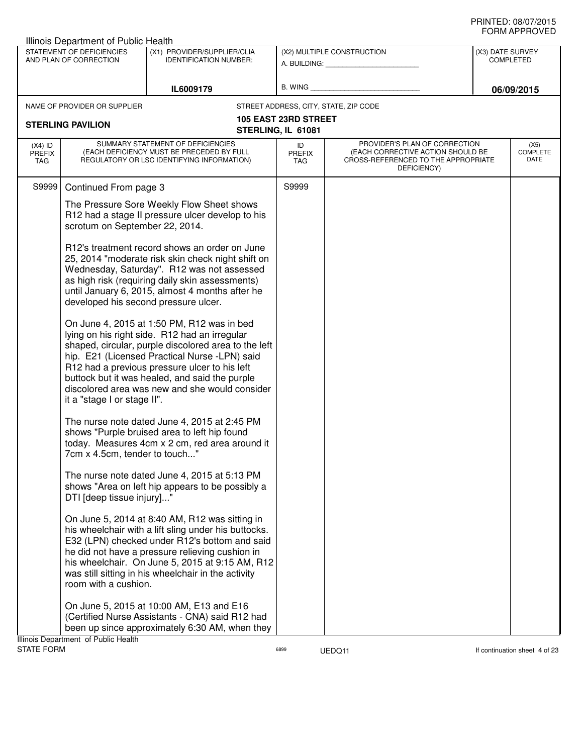| Illinois Department of Public Health |                                                     |                                                                                                                                                                                                                                                                                                                                                           |                                                   |                                                                                                                          |                                      |                                 |
|--------------------------------------|-----------------------------------------------------|-----------------------------------------------------------------------------------------------------------------------------------------------------------------------------------------------------------------------------------------------------------------------------------------------------------------------------------------------------------|---------------------------------------------------|--------------------------------------------------------------------------------------------------------------------------|--------------------------------------|---------------------------------|
|                                      | STATEMENT OF DEFICIENCIES<br>AND PLAN OF CORRECTION | (X1) PROVIDER/SUPPLIER/CLIA<br><b>IDENTIFICATION NUMBER:</b>                                                                                                                                                                                                                                                                                              |                                                   | (X2) MULTIPLE CONSTRUCTION                                                                                               | (X3) DATE SURVEY<br><b>COMPLETED</b> |                                 |
|                                      |                                                     |                                                                                                                                                                                                                                                                                                                                                           |                                                   | A. BUILDING: A. BUILDING:                                                                                                |                                      |                                 |
|                                      |                                                     | IL6009179                                                                                                                                                                                                                                                                                                                                                 | B. WING                                           |                                                                                                                          |                                      | 06/09/2015                      |
|                                      | NAME OF PROVIDER OR SUPPLIER                        |                                                                                                                                                                                                                                                                                                                                                           |                                                   | STREET ADDRESS, CITY, STATE, ZIP CODE                                                                                    |                                      |                                 |
|                                      | <b>STERLING PAVILION</b>                            |                                                                                                                                                                                                                                                                                                                                                           | <b>105 EAST 23RD STREET</b><br>STERLING, IL 61081 |                                                                                                                          |                                      |                                 |
| $(X4)$ ID<br><b>PREFIX</b><br>TAG    |                                                     | SUMMARY STATEMENT OF DEFICIENCIES<br>(EACH DEFICIENCY MUST BE PRECEDED BY FULL<br>REGULATORY OR LSC IDENTIFYING INFORMATION)                                                                                                                                                                                                                              | ID<br><b>PREFIX</b><br><b>TAG</b>                 | PROVIDER'S PLAN OF CORRECTION<br>(EACH CORRECTIVE ACTION SHOULD BE<br>CROSS-REFERENCED TO THE APPROPRIATE<br>DEFICIENCY) |                                      | (X5)<br><b>COMPLETE</b><br>DATE |
| S9999                                | Continued From page 3                               |                                                                                                                                                                                                                                                                                                                                                           | S9999                                             |                                                                                                                          |                                      |                                 |
|                                      | scrotum on September 22, 2014.                      | The Pressure Sore Weekly Flow Sheet shows<br>R12 had a stage II pressure ulcer develop to his                                                                                                                                                                                                                                                             |                                                   |                                                                                                                          |                                      |                                 |
|                                      | developed his second pressure ulcer.                | R12's treatment record shows an order on June<br>25, 2014 "moderate risk skin check night shift on<br>Wednesday, Saturday". R12 was not assessed<br>as high risk (requiring daily skin assessments)<br>until January 6, 2015, almost 4 months after he                                                                                                    |                                                   |                                                                                                                          |                                      |                                 |
|                                      | it a "stage I or stage II".                         | On June 4, 2015 at 1:50 PM, R12 was in bed<br>lying on his right side. R12 had an irregular<br>shaped, circular, purple discolored area to the left<br>hip. E21 (Licensed Practical Nurse -LPN) said<br>R12 had a previous pressure ulcer to his left<br>buttock but it was healed, and said the purple<br>discolored area was new and she would consider |                                                   |                                                                                                                          |                                      |                                 |
|                                      | 7cm x 4.5cm, tender to touch"                       | The nurse note dated June 4, 2015 at 2:45 PM<br>shows "Purple bruised area to left hip found<br>today. Measures 4cm x 2 cm, red area around it                                                                                                                                                                                                            |                                                   |                                                                                                                          |                                      |                                 |
|                                      | DTI [deep tissue injury]"                           | The nurse note dated June 4, 2015 at 5:13 PM<br>shows "Area on left hip appears to be possibly a                                                                                                                                                                                                                                                          |                                                   |                                                                                                                          |                                      |                                 |
|                                      | room with a cushion.                                | On June 5, 2014 at 8:40 AM, R12 was sitting in<br>his wheelchair with a lift sling under his buttocks.<br>E32 (LPN) checked under R12's bottom and said<br>he did not have a pressure relieving cushion in<br>his wheelchair. On June 5, 2015 at 9:15 AM, R12<br>was still sitting in his wheelchair in the activity                                      |                                                   |                                                                                                                          |                                      |                                 |
|                                      | Ilinois Denartment of Public Health                 | On June 5, 2015 at 10:00 AM, E13 and E16<br>(Certified Nurse Assistants - CNA) said R12 had<br>been up since approximately 6:30 AM, when they                                                                                                                                                                                                             |                                                   |                                                                                                                          |                                      |                                 |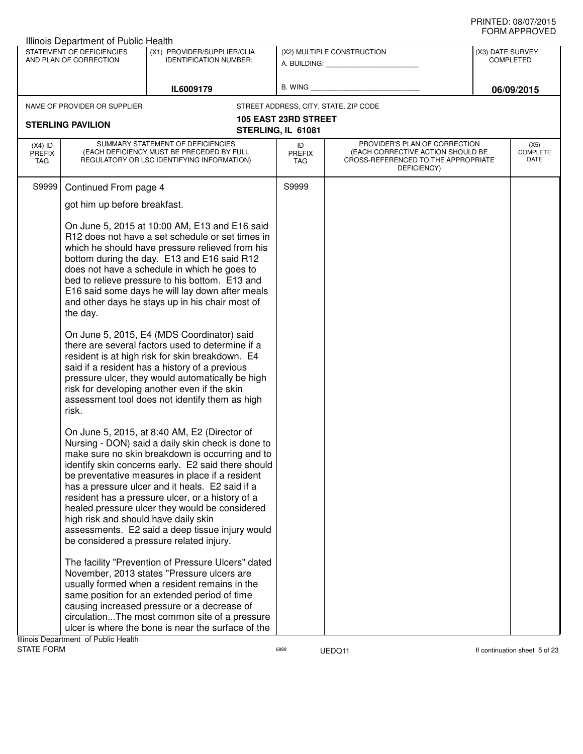|                                   | Illinois Department of Public Health                                          |                                                                                                                                                                                                                                                                                                                                                                                                                                                                                                                                                                                                                                                                                                                                                                                                                                                                                  |                                                   |                                                                                                                          |                  |                                 |
|-----------------------------------|-------------------------------------------------------------------------------|----------------------------------------------------------------------------------------------------------------------------------------------------------------------------------------------------------------------------------------------------------------------------------------------------------------------------------------------------------------------------------------------------------------------------------------------------------------------------------------------------------------------------------------------------------------------------------------------------------------------------------------------------------------------------------------------------------------------------------------------------------------------------------------------------------------------------------------------------------------------------------|---------------------------------------------------|--------------------------------------------------------------------------------------------------------------------------|------------------|---------------------------------|
|                                   | STATEMENT OF DEFICIENCIES<br>AND PLAN OF CORRECTION                           | (X1) PROVIDER/SUPPLIER/CLIA<br><b>IDENTIFICATION NUMBER:</b>                                                                                                                                                                                                                                                                                                                                                                                                                                                                                                                                                                                                                                                                                                                                                                                                                     |                                                   | (X2) MULTIPLE CONSTRUCTION<br>A. BUILDING: A. BUILDING:                                                                  | (X3) DATE SURVEY | <b>COMPLETED</b>                |
|                                   |                                                                               | IL6009179                                                                                                                                                                                                                                                                                                                                                                                                                                                                                                                                                                                                                                                                                                                                                                                                                                                                        |                                                   | B. WING <b>Example 2008</b>                                                                                              |                  | 06/09/2015                      |
|                                   | NAME OF PROVIDER OR SUPPLIER                                                  |                                                                                                                                                                                                                                                                                                                                                                                                                                                                                                                                                                                                                                                                                                                                                                                                                                                                                  |                                                   | STREET ADDRESS, CITY, STATE, ZIP CODE                                                                                    |                  |                                 |
|                                   | <b>STERLING PAVILION</b>                                                      |                                                                                                                                                                                                                                                                                                                                                                                                                                                                                                                                                                                                                                                                                                                                                                                                                                                                                  | <b>105 EAST 23RD STREET</b><br>STERLING, IL 61081 |                                                                                                                          |                  |                                 |
| $(X4)$ ID<br><b>PREFIX</b><br>TAG |                                                                               | SUMMARY STATEMENT OF DEFICIENCIES<br>(EACH DEFICIENCY MUST BE PRECEDED BY FULL<br>REGULATORY OR LSC IDENTIFYING INFORMATION)                                                                                                                                                                                                                                                                                                                                                                                                                                                                                                                                                                                                                                                                                                                                                     | ID<br><b>PREFIX</b><br>TAG                        | PROVIDER'S PLAN OF CORRECTION<br>(EACH CORRECTIVE ACTION SHOULD BE<br>CROSS-REFERENCED TO THE APPROPRIATE<br>DEFICIENCY) |                  | (X5)<br><b>COMPLETE</b><br>DATE |
| S9999                             | Continued From page 4                                                         |                                                                                                                                                                                                                                                                                                                                                                                                                                                                                                                                                                                                                                                                                                                                                                                                                                                                                  | S9999                                             |                                                                                                                          |                  |                                 |
|                                   | got him up before breakfast.                                                  |                                                                                                                                                                                                                                                                                                                                                                                                                                                                                                                                                                                                                                                                                                                                                                                                                                                                                  |                                                   |                                                                                                                          |                  |                                 |
|                                   | the day.<br>risk.                                                             | On June 5, 2015 at 10:00 AM, E13 and E16 said<br>R12 does not have a set schedule or set times in<br>which he should have pressure relieved from his<br>bottom during the day. E13 and E16 said R12<br>does not have a schedule in which he goes to<br>bed to relieve pressure to his bottom. E13 and<br>E16 said some days he will lay down after meals<br>and other days he stays up in his chair most of<br>On June 5, 2015, E4 (MDS Coordinator) said<br>there are several factors used to determine if a<br>resident is at high risk for skin breakdown. E4<br>said if a resident has a history of a previous<br>pressure ulcer, they would automatically be high<br>risk for developing another even if the skin<br>assessment tool does not identify them as high                                                                                                         |                                                   |                                                                                                                          |                  |                                 |
|                                   | high risk and should have daily skin<br>Illinois Denartment, of Public Health | On June 5, 2015, at 8:40 AM, E2 (Director of<br>Nursing - DON) said a daily skin check is done to<br>make sure no skin breakdown is occurring and to<br>identify skin concerns early. E2 said there should<br>be preventative measures in place if a resident<br>has a pressure ulcer and it heals. E2 said if a<br>resident has a pressure ulcer, or a history of a<br>healed pressure ulcer they would be considered<br>assessments. E2 said a deep tissue injury would<br>be considered a pressure related injury.<br>The facility "Prevention of Pressure Ulcers" dated<br>November, 2013 states "Pressure ulcers are<br>usually formed when a resident remains in the<br>same position for an extended period of time<br>causing increased pressure or a decrease of<br>circulationThe most common site of a pressure<br>ulcer is where the bone is near the surface of the |                                                   |                                                                                                                          |                  |                                 |

assets the UEDQ11 is a state of the UEDQ11 in the UEDQ11 is a state of the state of the state of the state of the state of the state of the state of the state of the state of the state of the state of the state of the stat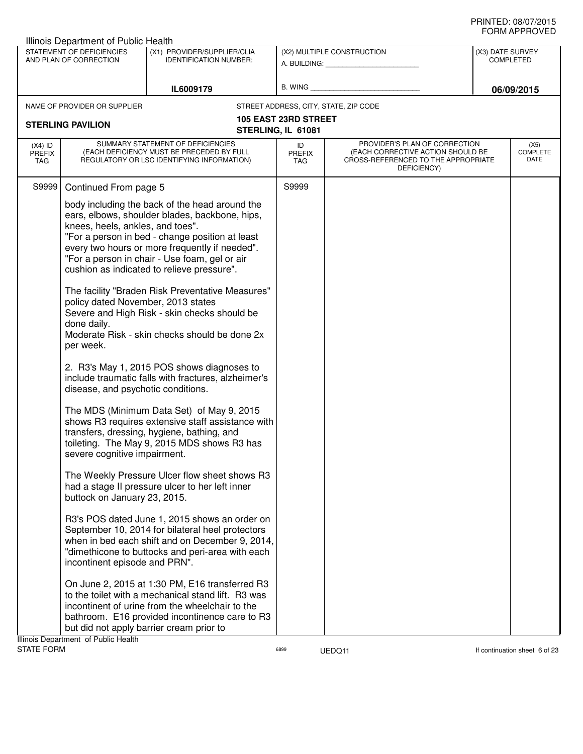|                                   | Illinois Department of Public Health                                                                                                                                                                                                      |                                                                                                                                                                                                                                                                                                                                                                                                                                                                                                                                                                                                                                                                                                                                                                                                                                                                                                                                                                                                                                                                                                                                                                                                                                                                                            |                                                   |                                                                                                                          |                                      | שם ערו וחשווט                   |
|-----------------------------------|-------------------------------------------------------------------------------------------------------------------------------------------------------------------------------------------------------------------------------------------|--------------------------------------------------------------------------------------------------------------------------------------------------------------------------------------------------------------------------------------------------------------------------------------------------------------------------------------------------------------------------------------------------------------------------------------------------------------------------------------------------------------------------------------------------------------------------------------------------------------------------------------------------------------------------------------------------------------------------------------------------------------------------------------------------------------------------------------------------------------------------------------------------------------------------------------------------------------------------------------------------------------------------------------------------------------------------------------------------------------------------------------------------------------------------------------------------------------------------------------------------------------------------------------------|---------------------------------------------------|--------------------------------------------------------------------------------------------------------------------------|--------------------------------------|---------------------------------|
|                                   | STATEMENT OF DEFICIENCIES<br>AND PLAN OF CORRECTION                                                                                                                                                                                       | (X1) PROVIDER/SUPPLIER/CLIA<br><b>IDENTIFICATION NUMBER:</b>                                                                                                                                                                                                                                                                                                                                                                                                                                                                                                                                                                                                                                                                                                                                                                                                                                                                                                                                                                                                                                                                                                                                                                                                                               |                                                   | (X2) MULTIPLE CONSTRUCTION<br>A. BUILDING: A. BUILDING:                                                                  | (X3) DATE SURVEY<br><b>COMPLETED</b> |                                 |
|                                   |                                                                                                                                                                                                                                           | IL6009179                                                                                                                                                                                                                                                                                                                                                                                                                                                                                                                                                                                                                                                                                                                                                                                                                                                                                                                                                                                                                                                                                                                                                                                                                                                                                  |                                                   | B. WING <b>Example 2008</b>                                                                                              |                                      | 06/09/2015                      |
|                                   | NAME OF PROVIDER OR SUPPLIER                                                                                                                                                                                                              |                                                                                                                                                                                                                                                                                                                                                                                                                                                                                                                                                                                                                                                                                                                                                                                                                                                                                                                                                                                                                                                                                                                                                                                                                                                                                            |                                                   | STREET ADDRESS, CITY, STATE, ZIP CODE                                                                                    |                                      |                                 |
|                                   | <b>STERLING PAVILION</b>                                                                                                                                                                                                                  |                                                                                                                                                                                                                                                                                                                                                                                                                                                                                                                                                                                                                                                                                                                                                                                                                                                                                                                                                                                                                                                                                                                                                                                                                                                                                            | <b>105 EAST 23RD STREET</b><br>STERLING, IL 61081 |                                                                                                                          |                                      |                                 |
| $(X4)$ ID<br><b>PREFIX</b><br>TAG |                                                                                                                                                                                                                                           | SUMMARY STATEMENT OF DEFICIENCIES<br>(EACH DEFICIENCY MUST BE PRECEDED BY FULL<br>REGULATORY OR LSC IDENTIFYING INFORMATION)                                                                                                                                                                                                                                                                                                                                                                                                                                                                                                                                                                                                                                                                                                                                                                                                                                                                                                                                                                                                                                                                                                                                                               | ID<br><b>PREFIX</b><br>TAG                        | PROVIDER'S PLAN OF CORRECTION<br>(EACH CORRECTIVE ACTION SHOULD BE<br>CROSS-REFERENCED TO THE APPROPRIATE<br>DEFICIENCY) |                                      | (X5)<br><b>COMPLETE</b><br>DATE |
| S9999                             | Continued From page 5                                                                                                                                                                                                                     |                                                                                                                                                                                                                                                                                                                                                                                                                                                                                                                                                                                                                                                                                                                                                                                                                                                                                                                                                                                                                                                                                                                                                                                                                                                                                            | S9999                                             |                                                                                                                          |                                      |                                 |
|                                   | knees, heels, ankles, and toes".<br>policy dated November, 2013 states<br>done daily.<br>per week.<br>disease, and psychotic conditions.<br>severe cognitive impairment.<br>buttock on January 23, 2015.<br>incontinent episode and PRN". | body including the back of the head around the<br>ears, elbows, shoulder blades, backbone, hips,<br>"For a person in bed - change position at least<br>every two hours or more frequently if needed".<br>"For a person in chair - Use foam, gel or air<br>cushion as indicated to relieve pressure".<br>The facility "Braden Risk Preventative Measures"<br>Severe and High Risk - skin checks should be<br>Moderate Risk - skin checks should be done 2x<br>2. R3's May 1, 2015 POS shows diagnoses to<br>include traumatic falls with fractures, alzheimer's<br>The MDS (Minimum Data Set) of May 9, 2015<br>shows R3 requires extensive staff assistance with<br>transfers, dressing, hygiene, bathing, and<br>toileting. The May 9, 2015 MDS shows R3 has<br>The Weekly Pressure Ulcer flow sheet shows R3<br>had a stage II pressure ulcer to her left inner<br>R3's POS dated June 1, 2015 shows an order on<br>September 10, 2014 for bilateral heel protectors<br>when in bed each shift and on December 9, 2014,<br>"dimethicone to buttocks and peri-area with each<br>On June 2, 2015 at 1:30 PM, E16 transferred R3<br>to the toilet with a mechanical stand lift. R3 was<br>incontinent of urine from the wheelchair to the<br>bathroom. E16 provided incontinence care to R3 |                                                   |                                                                                                                          |                                      |                                 |
|                                   | but did not apply barrier cream prior to                                                                                                                                                                                                  |                                                                                                                                                                                                                                                                                                                                                                                                                                                                                                                                                                                                                                                                                                                                                                                                                                                                                                                                                                                                                                                                                                                                                                                                                                                                                            |                                                   |                                                                                                                          |                                      |                                 |
|                                   | Illinois Department of Public Health                                                                                                                                                                                                      |                                                                                                                                                                                                                                                                                                                                                                                                                                                                                                                                                                                                                                                                                                                                                                                                                                                                                                                                                                                                                                                                                                                                                                                                                                                                                            |                                                   |                                                                                                                          |                                      |                                 |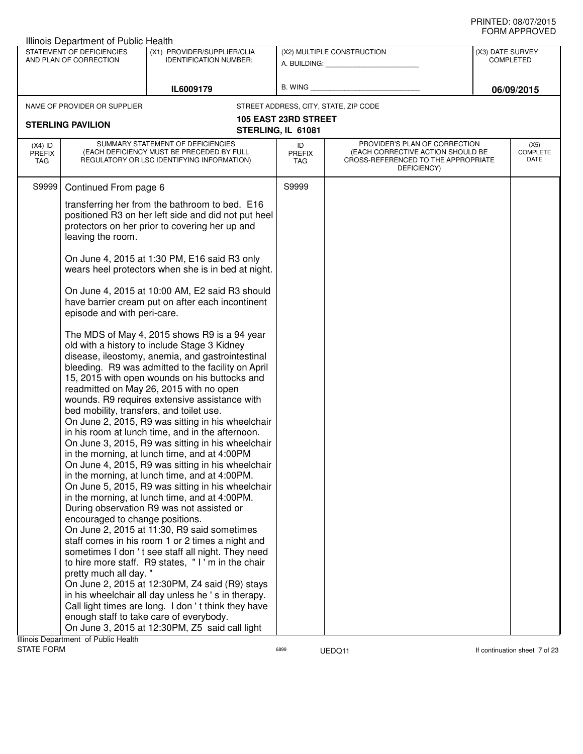|                                   | <b>Illinois Department of Public Health</b>                                                          |                                                                                                                                                                                                                                                                                                                                                                                                                                                                                                                                                                                                                                                                                                                                                                                                                                                                                                                                                                                                                                                                                                                                                                                                                                                |                                                   |                                                                                                                          |                  |                                 |
|-----------------------------------|------------------------------------------------------------------------------------------------------|------------------------------------------------------------------------------------------------------------------------------------------------------------------------------------------------------------------------------------------------------------------------------------------------------------------------------------------------------------------------------------------------------------------------------------------------------------------------------------------------------------------------------------------------------------------------------------------------------------------------------------------------------------------------------------------------------------------------------------------------------------------------------------------------------------------------------------------------------------------------------------------------------------------------------------------------------------------------------------------------------------------------------------------------------------------------------------------------------------------------------------------------------------------------------------------------------------------------------------------------|---------------------------------------------------|--------------------------------------------------------------------------------------------------------------------------|------------------|---------------------------------|
|                                   | STATEMENT OF DEFICIENCIES<br>AND PLAN OF CORRECTION                                                  | (X1) PROVIDER/SUPPLIER/CLIA<br><b>IDENTIFICATION NUMBER:</b>                                                                                                                                                                                                                                                                                                                                                                                                                                                                                                                                                                                                                                                                                                                                                                                                                                                                                                                                                                                                                                                                                                                                                                                   |                                                   | (X2) MULTIPLE CONSTRUCTION<br>A. BUILDING: A. BUILDING:                                                                  | (X3) DATE SURVEY | <b>COMPLETED</b>                |
|                                   |                                                                                                      | IL6009179                                                                                                                                                                                                                                                                                                                                                                                                                                                                                                                                                                                                                                                                                                                                                                                                                                                                                                                                                                                                                                                                                                                                                                                                                                      | B. WING                                           |                                                                                                                          |                  | 06/09/2015                      |
|                                   | NAME OF PROVIDER OR SUPPLIER                                                                         |                                                                                                                                                                                                                                                                                                                                                                                                                                                                                                                                                                                                                                                                                                                                                                                                                                                                                                                                                                                                                                                                                                                                                                                                                                                |                                                   | STREET ADDRESS, CITY, STATE, ZIP CODE                                                                                    |                  |                                 |
|                                   | <b>STERLING PAVILION</b>                                                                             |                                                                                                                                                                                                                                                                                                                                                                                                                                                                                                                                                                                                                                                                                                                                                                                                                                                                                                                                                                                                                                                                                                                                                                                                                                                | <b>105 EAST 23RD STREET</b><br>STERLING, IL 61081 |                                                                                                                          |                  |                                 |
| $(X4)$ ID<br><b>PREFIX</b><br>TAG |                                                                                                      | SUMMARY STATEMENT OF DEFICIENCIES<br>(EACH DEFICIENCY MUST BE PRECEDED BY FULL<br>REGULATORY OR LSC IDENTIFYING INFORMATION)                                                                                                                                                                                                                                                                                                                                                                                                                                                                                                                                                                                                                                                                                                                                                                                                                                                                                                                                                                                                                                                                                                                   | ID<br><b>PREFIX</b><br>TAG                        | PROVIDER'S PLAN OF CORRECTION<br>(EACH CORRECTIVE ACTION SHOULD BE<br>CROSS-REFERENCED TO THE APPROPRIATE<br>DEFICIENCY) |                  | (X5)<br><b>COMPLETE</b><br>DATE |
| S9999                             | Continued From page 6                                                                                |                                                                                                                                                                                                                                                                                                                                                                                                                                                                                                                                                                                                                                                                                                                                                                                                                                                                                                                                                                                                                                                                                                                                                                                                                                                | S9999                                             |                                                                                                                          |                  |                                 |
|                                   | leaving the room.                                                                                    | transferring her from the bathroom to bed. E16<br>positioned R3 on her left side and did not put heel<br>protectors on her prior to covering her up and                                                                                                                                                                                                                                                                                                                                                                                                                                                                                                                                                                                                                                                                                                                                                                                                                                                                                                                                                                                                                                                                                        |                                                   |                                                                                                                          |                  |                                 |
|                                   |                                                                                                      | On June 4, 2015 at 1:30 PM, E16 said R3 only<br>wears heel protectors when she is in bed at night.                                                                                                                                                                                                                                                                                                                                                                                                                                                                                                                                                                                                                                                                                                                                                                                                                                                                                                                                                                                                                                                                                                                                             |                                                   |                                                                                                                          |                  |                                 |
|                                   | episode and with peri-care.                                                                          | On June 4, 2015 at 10:00 AM, E2 said R3 should<br>have barrier cream put on after each incontinent                                                                                                                                                                                                                                                                                                                                                                                                                                                                                                                                                                                                                                                                                                                                                                                                                                                                                                                                                                                                                                                                                                                                             |                                                   |                                                                                                                          |                  |                                 |
|                                   | bed mobility, transfers, and toilet use.<br>encouraged to change positions.<br>pretty much all day." | The MDS of May 4, 2015 shows R9 is a 94 year<br>old with a history to include Stage 3 Kidney<br>disease, ileostomy, anemia, and gastrointestinal<br>bleeding. R9 was admitted to the facility on April<br>15, 2015 with open wounds on his buttocks and<br>readmitted on May 26, 2015 with no open<br>wounds. R9 requires extensive assistance with<br>On June 2, 2015, R9 was sitting in his wheelchair<br>in his room at lunch time, and in the afternoon.<br>On June 3, 2015, R9 was sitting in his wheelchair<br>in the morning, at lunch time, and at 4:00PM<br>On June 4, 2015, R9 was sitting in his wheelchair<br>in the morning, at lunch time, and at 4:00PM.<br>On June 5, 2015, R9 was sitting in his wheelchair<br>in the morning, at lunch time, and at 4:00PM.<br>During observation R9 was not assisted or<br>On June 2, 2015 at 11:30, R9 said sometimes<br>staff comes in his room 1 or 2 times a night and<br>sometimes I don't see staff all night. They need<br>to hire more staff. R9 states, "I'm in the chair<br>On June 2, 2015 at 12:30PM, Z4 said (R9) stays<br>in his wheelchair all day unless he 's in therapy.<br>Call light times are long. I don't think they have<br>enough staff to take care of everybody. |                                                   |                                                                                                                          |                  |                                 |
|                                   |                                                                                                      | On June 3, 2015 at 12:30PM, Z5 said call light                                                                                                                                                                                                                                                                                                                                                                                                                                                                                                                                                                                                                                                                                                                                                                                                                                                                                                                                                                                                                                                                                                                                                                                                 |                                                   |                                                                                                                          |                  |                                 |
|                                   | Illinois Department of Public Health                                                                 |                                                                                                                                                                                                                                                                                                                                                                                                                                                                                                                                                                                                                                                                                                                                                                                                                                                                                                                                                                                                                                                                                                                                                                                                                                                |                                                   |                                                                                                                          |                  |                                 |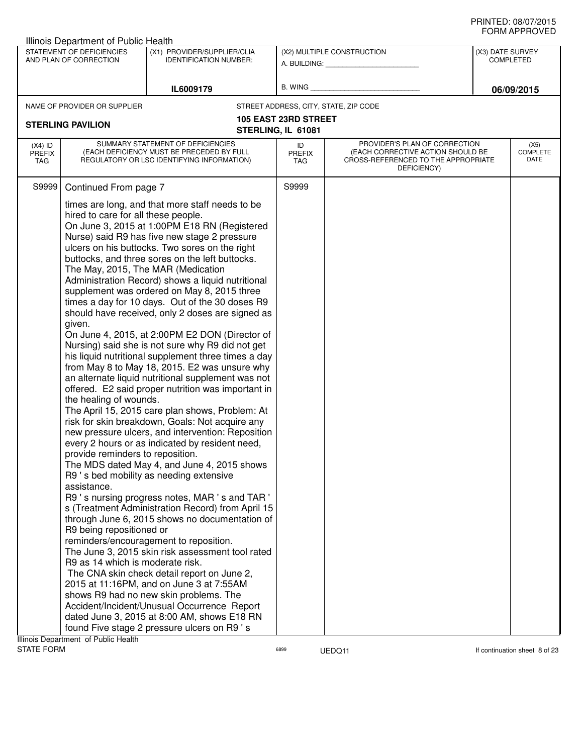| STATEMENT OF DEFICIENCIES<br>(X1) PROVIDER/SUPPLIER/CLIA<br>(X2) MULTIPLE CONSTRUCTION<br>(X3) DATE SURVEY<br>AND PLAN OF CORRECTION<br><b>IDENTIFICATION NUMBER:</b><br><b>COMPLETED</b><br>A. BUILDING: A. BUILDING:<br>B. WING<br>IL6009179<br>06/09/2015<br>STREET ADDRESS, CITY, STATE, ZIP CODE<br>NAME OF PROVIDER OR SUPPLIER<br><b>105 EAST 23RD STREET</b><br><b>STERLING PAVILION</b><br>STERLING, IL 61081<br>SUMMARY STATEMENT OF DEFICIENCIES<br>PROVIDER'S PLAN OF CORRECTION<br>$(X4)$ ID<br>(X5)<br>ID<br>COMPLETE<br>(EACH DEFICIENCY MUST BE PRECEDED BY FULL<br>(EACH CORRECTIVE ACTION SHOULD BE<br><b>PREFIX</b><br><b>PREFIX</b><br>DATE<br>REGULATORY OR LSC IDENTIFYING INFORMATION)<br>CROSS-REFERENCED TO THE APPROPRIATE<br>TAG<br>TAG<br>DEFICIENCY)<br>S9999<br>Continued From page 7<br>S9999<br>times are long, and that more staff needs to be<br>hired to care for all these people.<br>On June 3, 2015 at 1:00PM E18 RN (Registered<br>Nurse) said R9 has five new stage 2 pressure<br>ulcers on his buttocks. Two sores on the right<br>buttocks, and three sores on the left buttocks.<br>The May, 2015, The MAR (Medication<br>Administration Record) shows a liquid nutritional<br>supplement was ordered on May 8, 2015 three<br>times a day for 10 days. Out of the 30 doses R9<br>should have received, only 2 doses are signed as<br>given.<br>On June 4, 2015, at 2:00PM E2 DON (Director of<br>Nursing) said she is not sure why R9 did not get<br>his liquid nutritional supplement three times a day<br>from May 8 to May 18, 2015. E2 was unsure why<br>an alternate liquid nutritional supplement was not<br>offered. E2 said proper nutrition was important in<br>the healing of wounds.<br>The April 15, 2015 care plan shows, Problem: At<br>risk for skin breakdown, Goals: Not acquire any<br>new pressure ulcers, and intervention: Reposition<br>every 2 hours or as indicated by resident need,<br>provide reminders to reposition.<br>The MDS dated May 4, and June 4, 2015 shows<br>R9 's bed mobility as needing extensive<br>assistance.<br>R9 's nursing progress notes, MAR 's and TAR '<br>s (Treatment Administration Record) from April 15<br>through June 6, 2015 shows no documentation of<br>R9 being repositioned or<br>reminders/encouragement to reposition.<br>The June 3, 2015 skin risk assessment tool rated<br>R9 as 14 which is moderate risk.<br>The CNA skin check detail report on June 2,<br>2015 at 11:16PM, and on June 3 at 7:55AM<br>shows R9 had no new skin problems. The<br>Accident/Incident/Unusual Occurrence Report<br>dated June 3, 2015 at 8:00 AM, shows E18 RN<br>found Five stage 2 pressure ulcers on R9 's | Illinois Department of Public Health |  |  | שם ערו וחשווט |
|----------------------------------------------------------------------------------------------------------------------------------------------------------------------------------------------------------------------------------------------------------------------------------------------------------------------------------------------------------------------------------------------------------------------------------------------------------------------------------------------------------------------------------------------------------------------------------------------------------------------------------------------------------------------------------------------------------------------------------------------------------------------------------------------------------------------------------------------------------------------------------------------------------------------------------------------------------------------------------------------------------------------------------------------------------------------------------------------------------------------------------------------------------------------------------------------------------------------------------------------------------------------------------------------------------------------------------------------------------------------------------------------------------------------------------------------------------------------------------------------------------------------------------------------------------------------------------------------------------------------------------------------------------------------------------------------------------------------------------------------------------------------------------------------------------------------------------------------------------------------------------------------------------------------------------------------------------------------------------------------------------------------------------------------------------------------------------------------------------------------------------------------------------------------------------------------------------------------------------------------------------------------------------------------------------------------------------------------------------------------------------------------------------------------------------------------------------------------------------------------------------------------------------------------------------------------------------------------------------------------------------------------------------------------------------------------------------------|--------------------------------------|--|--|---------------|
|                                                                                                                                                                                                                                                                                                                                                                                                                                                                                                                                                                                                                                                                                                                                                                                                                                                                                                                                                                                                                                                                                                                                                                                                                                                                                                                                                                                                                                                                                                                                                                                                                                                                                                                                                                                                                                                                                                                                                                                                                                                                                                                                                                                                                                                                                                                                                                                                                                                                                                                                                                                                                                                                                                                |                                      |  |  |               |
|                                                                                                                                                                                                                                                                                                                                                                                                                                                                                                                                                                                                                                                                                                                                                                                                                                                                                                                                                                                                                                                                                                                                                                                                                                                                                                                                                                                                                                                                                                                                                                                                                                                                                                                                                                                                                                                                                                                                                                                                                                                                                                                                                                                                                                                                                                                                                                                                                                                                                                                                                                                                                                                                                                                |                                      |  |  |               |
|                                                                                                                                                                                                                                                                                                                                                                                                                                                                                                                                                                                                                                                                                                                                                                                                                                                                                                                                                                                                                                                                                                                                                                                                                                                                                                                                                                                                                                                                                                                                                                                                                                                                                                                                                                                                                                                                                                                                                                                                                                                                                                                                                                                                                                                                                                                                                                                                                                                                                                                                                                                                                                                                                                                |                                      |  |  |               |
|                                                                                                                                                                                                                                                                                                                                                                                                                                                                                                                                                                                                                                                                                                                                                                                                                                                                                                                                                                                                                                                                                                                                                                                                                                                                                                                                                                                                                                                                                                                                                                                                                                                                                                                                                                                                                                                                                                                                                                                                                                                                                                                                                                                                                                                                                                                                                                                                                                                                                                                                                                                                                                                                                                                |                                      |  |  |               |
|                                                                                                                                                                                                                                                                                                                                                                                                                                                                                                                                                                                                                                                                                                                                                                                                                                                                                                                                                                                                                                                                                                                                                                                                                                                                                                                                                                                                                                                                                                                                                                                                                                                                                                                                                                                                                                                                                                                                                                                                                                                                                                                                                                                                                                                                                                                                                                                                                                                                                                                                                                                                                                                                                                                |                                      |  |  |               |
|                                                                                                                                                                                                                                                                                                                                                                                                                                                                                                                                                                                                                                                                                                                                                                                                                                                                                                                                                                                                                                                                                                                                                                                                                                                                                                                                                                                                                                                                                                                                                                                                                                                                                                                                                                                                                                                                                                                                                                                                                                                                                                                                                                                                                                                                                                                                                                                                                                                                                                                                                                                                                                                                                                                |                                      |  |  |               |
|                                                                                                                                                                                                                                                                                                                                                                                                                                                                                                                                                                                                                                                                                                                                                                                                                                                                                                                                                                                                                                                                                                                                                                                                                                                                                                                                                                                                                                                                                                                                                                                                                                                                                                                                                                                                                                                                                                                                                                                                                                                                                                                                                                                                                                                                                                                                                                                                                                                                                                                                                                                                                                                                                                                |                                      |  |  |               |
|                                                                                                                                                                                                                                                                                                                                                                                                                                                                                                                                                                                                                                                                                                                                                                                                                                                                                                                                                                                                                                                                                                                                                                                                                                                                                                                                                                                                                                                                                                                                                                                                                                                                                                                                                                                                                                                                                                                                                                                                                                                                                                                                                                                                                                                                                                                                                                                                                                                                                                                                                                                                                                                                                                                | Illinois Department of Public Health |  |  |               |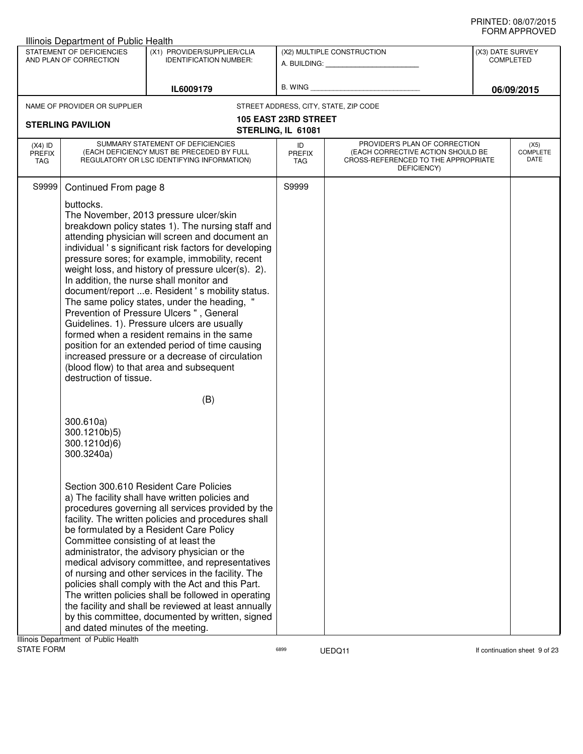|                                                                                                                                                                                                                                                                                                                                                                                                                                                                                                                                                                                                                                                                                                                                                         | Illinois Department of Public Health                    |                                                                                                                                                                                                                                                                                                                                                                                                                                                                                                                                                                                                                                                                                                                                                           |                                   |                                                                                                                          |                                      | ◡੶┉୷੶੶੶੶੶◡▾∟◡            |
|---------------------------------------------------------------------------------------------------------------------------------------------------------------------------------------------------------------------------------------------------------------------------------------------------------------------------------------------------------------------------------------------------------------------------------------------------------------------------------------------------------------------------------------------------------------------------------------------------------------------------------------------------------------------------------------------------------------------------------------------------------|---------------------------------------------------------|-----------------------------------------------------------------------------------------------------------------------------------------------------------------------------------------------------------------------------------------------------------------------------------------------------------------------------------------------------------------------------------------------------------------------------------------------------------------------------------------------------------------------------------------------------------------------------------------------------------------------------------------------------------------------------------------------------------------------------------------------------------|-----------------------------------|--------------------------------------------------------------------------------------------------------------------------|--------------------------------------|--------------------------|
|                                                                                                                                                                                                                                                                                                                                                                                                                                                                                                                                                                                                                                                                                                                                                         | STATEMENT OF DEFICIENCIES<br>AND PLAN OF CORRECTION     | (X1) PROVIDER/SUPPLIER/CLIA<br><b>IDENTIFICATION NUMBER:</b>                                                                                                                                                                                                                                                                                                                                                                                                                                                                                                                                                                                                                                                                                              |                                   | (X2) MULTIPLE CONSTRUCTION                                                                                               | (X3) DATE SURVEY<br><b>COMPLETED</b> |                          |
|                                                                                                                                                                                                                                                                                                                                                                                                                                                                                                                                                                                                                                                                                                                                                         |                                                         | IL6009179                                                                                                                                                                                                                                                                                                                                                                                                                                                                                                                                                                                                                                                                                                                                                 |                                   | B. WING <b>Example 2008</b>                                                                                              |                                      | 06/09/2015               |
|                                                                                                                                                                                                                                                                                                                                                                                                                                                                                                                                                                                                                                                                                                                                                         | NAME OF PROVIDER OR SUPPLIER                            |                                                                                                                                                                                                                                                                                                                                                                                                                                                                                                                                                                                                                                                                                                                                                           |                                   | STREET ADDRESS, CITY, STATE, ZIP CODE                                                                                    |                                      |                          |
| <b>STERLING PAVILION</b>                                                                                                                                                                                                                                                                                                                                                                                                                                                                                                                                                                                                                                                                                                                                |                                                         | 105 EAST 23RD STREET<br>STERLING, IL 61081                                                                                                                                                                                                                                                                                                                                                                                                                                                                                                                                                                                                                                                                                                                |                                   |                                                                                                                          |                                      |                          |
| $(X4)$ ID<br><b>PREFIX</b><br>TAG                                                                                                                                                                                                                                                                                                                                                                                                                                                                                                                                                                                                                                                                                                                       |                                                         | SUMMARY STATEMENT OF DEFICIENCIES<br>(EACH DEFICIENCY MUST BE PRECEDED BY FULL<br>REGULATORY OR LSC IDENTIFYING INFORMATION)                                                                                                                                                                                                                                                                                                                                                                                                                                                                                                                                                                                                                              | ID<br><b>PREFIX</b><br><b>TAG</b> | PROVIDER'S PLAN OF CORRECTION<br>(EACH CORRECTIVE ACTION SHOULD BE<br>CROSS-REFERENCED TO THE APPROPRIATE<br>DEFICIENCY) |                                      | (X5)<br>COMPLETE<br>DATE |
|                                                                                                                                                                                                                                                                                                                                                                                                                                                                                                                                                                                                                                                                                                                                                         | buttocks.<br>destruction of tissue.                     | The November, 2013 pressure ulcer/skin<br>breakdown policy states 1). The nursing staff and<br>attending physician will screen and document an<br>individual 's significant risk factors for developing<br>pressure sores; for example, immobility, recent<br>weight loss, and history of pressure ulcer(s). 2).<br>In addition, the nurse shall monitor and<br>document/report e. Resident's mobility status.<br>The same policy states, under the heading, "<br>Prevention of Pressure Ulcers ", General<br>Guidelines. 1). Pressure ulcers are usually<br>formed when a resident remains in the same<br>position for an extended period of time causing<br>increased pressure or a decrease of circulation<br>(blood flow) to that area and subsequent |                                   |                                                                                                                          |                                      |                          |
|                                                                                                                                                                                                                                                                                                                                                                                                                                                                                                                                                                                                                                                                                                                                                         |                                                         | (B)                                                                                                                                                                                                                                                                                                                                                                                                                                                                                                                                                                                                                                                                                                                                                       |                                   |                                                                                                                          |                                      |                          |
|                                                                                                                                                                                                                                                                                                                                                                                                                                                                                                                                                                                                                                                                                                                                                         | 300.610a)<br>300.1210b)5)<br>300.1210d)6)<br>300.3240a) |                                                                                                                                                                                                                                                                                                                                                                                                                                                                                                                                                                                                                                                                                                                                                           |                                   |                                                                                                                          |                                      |                          |
| Section 300.610 Resident Care Policies<br>a) The facility shall have written policies and<br>procedures governing all services provided by the<br>facility. The written policies and procedures shall<br>be formulated by a Resident Care Policy<br>Committee consisting of at least the<br>administrator, the advisory physician or the<br>medical advisory committee, and representatives<br>of nursing and other services in the facility. The<br>policies shall comply with the Act and this Part.<br>The written policies shall be followed in operating<br>the facility and shall be reviewed at least annually<br>by this committee, documented by written, signed<br>and dated minutes of the meeting.<br>Illinois Denartment, of Public Health |                                                         |                                                                                                                                                                                                                                                                                                                                                                                                                                                                                                                                                                                                                                                                                                                                                           |                                   |                                                                                                                          |                                      |                          |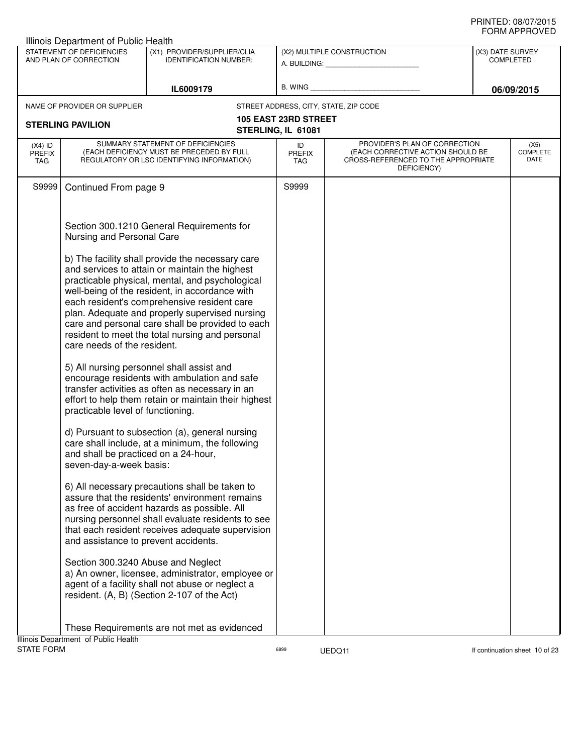|                                   | Illinois Department of Public Health                            |                                                                                                                                                                                                                                                                                                                                                             |                                            |                                                                                                                          |                                      |                                 |
|-----------------------------------|-----------------------------------------------------------------|-------------------------------------------------------------------------------------------------------------------------------------------------------------------------------------------------------------------------------------------------------------------------------------------------------------------------------------------------------------|--------------------------------------------|--------------------------------------------------------------------------------------------------------------------------|--------------------------------------|---------------------------------|
|                                   | STATEMENT OF DEFICIENCIES<br>AND PLAN OF CORRECTION             | (X1) PROVIDER/SUPPLIER/CLIA                                                                                                                                                                                                                                                                                                                                 | (X2) MULTIPLE CONSTRUCTION                 |                                                                                                                          | (X3) DATE SURVEY<br><b>COMPLETED</b> |                                 |
|                                   |                                                                 | <b>IDENTIFICATION NUMBER:</b>                                                                                                                                                                                                                                                                                                                               |                                            | A. BUILDING: A. BUILDING:                                                                                                |                                      |                                 |
|                                   |                                                                 |                                                                                                                                                                                                                                                                                                                                                             | B. WING                                    |                                                                                                                          |                                      |                                 |
|                                   |                                                                 | IL6009179                                                                                                                                                                                                                                                                                                                                                   |                                            |                                                                                                                          |                                      | 06/09/2015                      |
|                                   | NAME OF PROVIDER OR SUPPLIER                                    |                                                                                                                                                                                                                                                                                                                                                             |                                            | STREET ADDRESS, CITY, STATE, ZIP CODE                                                                                    |                                      |                                 |
|                                   | <b>STERLING PAVILION</b>                                        |                                                                                                                                                                                                                                                                                                                                                             | 105 EAST 23RD STREET<br>STERLING, IL 61081 |                                                                                                                          |                                      |                                 |
|                                   |                                                                 |                                                                                                                                                                                                                                                                                                                                                             |                                            |                                                                                                                          |                                      |                                 |
| $(X4)$ ID<br><b>PREFIX</b><br>TAG |                                                                 | SUMMARY STATEMENT OF DEFICIENCIES<br>(EACH DEFICIENCY MUST BE PRECEDED BY FULL<br>REGULATORY OR LSC IDENTIFYING INFORMATION)                                                                                                                                                                                                                                | ID<br><b>PREFIX</b><br>TAG                 | PROVIDER'S PLAN OF CORRECTION<br>(EACH CORRECTIVE ACTION SHOULD BE<br>CROSS-REFERENCED TO THE APPROPRIATE<br>DEFICIENCY) |                                      | (X5)<br><b>COMPLETE</b><br>DATE |
| S9999                             | Continued From page 9                                           |                                                                                                                                                                                                                                                                                                                                                             | S9999                                      |                                                                                                                          |                                      |                                 |
|                                   | Nursing and Personal Care                                       | Section 300.1210 General Requirements for<br>b) The facility shall provide the necessary care                                                                                                                                                                                                                                                               |                                            |                                                                                                                          |                                      |                                 |
|                                   | care needs of the resident.                                     | and services to attain or maintain the highest<br>practicable physical, mental, and psychological<br>well-being of the resident, in accordance with<br>each resident's comprehensive resident care<br>plan. Adequate and properly supervised nursing<br>care and personal care shall be provided to each<br>resident to meet the total nursing and personal |                                            |                                                                                                                          |                                      |                                 |
|                                   | practicable level of functioning.                               | 5) All nursing personnel shall assist and<br>encourage residents with ambulation and safe<br>transfer activities as often as necessary in an<br>effort to help them retain or maintain their highest                                                                                                                                                        |                                            |                                                                                                                          |                                      |                                 |
|                                   | and shall be practiced on a 24-hour,<br>seven-day-a-week basis: | d) Pursuant to subsection (a), general nursing<br>care shall include, at a minimum, the following                                                                                                                                                                                                                                                           |                                            |                                                                                                                          |                                      |                                 |
|                                   | and assistance to prevent accidents.                            | 6) All necessary precautions shall be taken to<br>assure that the residents' environment remains<br>as free of accident hazards as possible. All<br>nursing personnel shall evaluate residents to see<br>that each resident receives adequate supervision                                                                                                   |                                            |                                                                                                                          |                                      |                                 |
|                                   | Section 300.3240 Abuse and Neglect                              | a) An owner, licensee, administrator, employee or<br>agent of a facility shall not abuse or neglect a<br>resident. (A, B) (Section 2-107 of the Act)                                                                                                                                                                                                        |                                            |                                                                                                                          |                                      |                                 |
|                                   |                                                                 | These Requirements are not met as evidenced                                                                                                                                                                                                                                                                                                                 |                                            |                                                                                                                          |                                      |                                 |
| <b>STATE FORM</b>                 | Illinois Department of Public Health                            |                                                                                                                                                                                                                                                                                                                                                             | 6899                                       | UEDQ11                                                                                                                   |                                      | If continuation sheet 10 of 23  |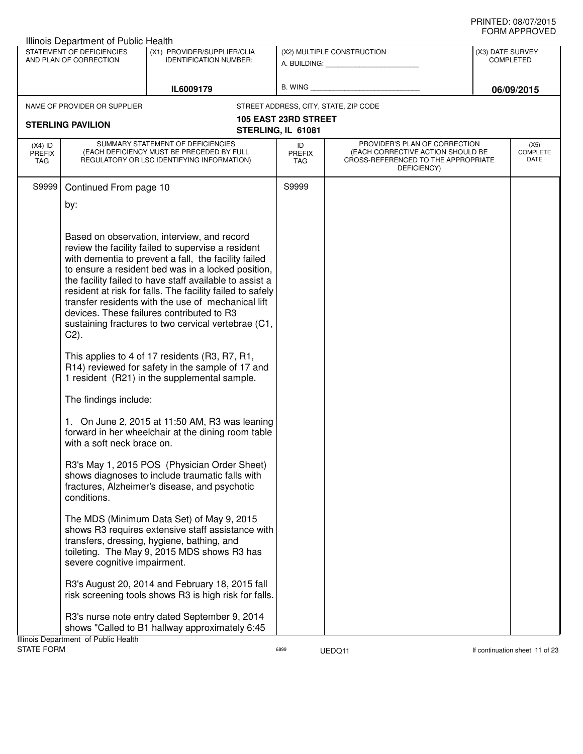|                                          | Illinois Department of Public Health |                                                                                                                              |                                   |                                                                                                                          |                  |                                 |
|------------------------------------------|--------------------------------------|------------------------------------------------------------------------------------------------------------------------------|-----------------------------------|--------------------------------------------------------------------------------------------------------------------------|------------------|---------------------------------|
|                                          | STATEMENT OF DEFICIENCIES            | (X1) PROVIDER/SUPPLIER/CLIA<br><b>IDENTIFICATION NUMBER:</b>                                                                 |                                   | (X2) MULTIPLE CONSTRUCTION                                                                                               | (X3) DATE SURVEY |                                 |
|                                          | AND PLAN OF CORRECTION               |                                                                                                                              |                                   | A. BUILDING: A. BUILDING:                                                                                                |                  | <b>COMPLETED</b>                |
|                                          |                                      |                                                                                                                              |                                   |                                                                                                                          |                  |                                 |
|                                          |                                      | IL6009179                                                                                                                    | B. WING                           |                                                                                                                          |                  | 06/09/2015                      |
|                                          | NAME OF PROVIDER OR SUPPLIER         |                                                                                                                              |                                   | STREET ADDRESS, CITY, STATE, ZIP CODE                                                                                    |                  |                                 |
|                                          | <b>STERLING PAVILION</b>             |                                                                                                                              | 105 EAST 23RD STREET              |                                                                                                                          |                  |                                 |
|                                          |                                      |                                                                                                                              | STERLING, IL 61081                |                                                                                                                          |                  |                                 |
| $(X4)$ ID<br><b>PREFIX</b><br><b>TAG</b> |                                      | SUMMARY STATEMENT OF DEFICIENCIES<br>(EACH DEFICIENCY MUST BE PRECEDED BY FULL<br>REGULATORY OR LSC IDENTIFYING INFORMATION) | ID<br><b>PREFIX</b><br><b>TAG</b> | PROVIDER'S PLAN OF CORRECTION<br>(EACH CORRECTIVE ACTION SHOULD BE<br>CROSS-REFERENCED TO THE APPROPRIATE<br>DEFICIENCY) |                  | (X5)<br><b>COMPLETE</b><br>DATE |
| S9999                                    | Continued From page 10               |                                                                                                                              | S9999                             |                                                                                                                          |                  |                                 |
|                                          | by:                                  |                                                                                                                              |                                   |                                                                                                                          |                  |                                 |
|                                          |                                      |                                                                                                                              |                                   |                                                                                                                          |                  |                                 |
|                                          |                                      |                                                                                                                              |                                   |                                                                                                                          |                  |                                 |
|                                          |                                      | Based on observation, interview, and record<br>review the facility failed to supervise a resident                            |                                   |                                                                                                                          |                  |                                 |
|                                          |                                      | with dementia to prevent a fall, the facility failed                                                                         |                                   |                                                                                                                          |                  |                                 |
|                                          |                                      | to ensure a resident bed was in a locked position,                                                                           |                                   |                                                                                                                          |                  |                                 |
|                                          |                                      | the facility failed to have staff available to assist a                                                                      |                                   |                                                                                                                          |                  |                                 |
|                                          |                                      | resident at risk for falls. The facility failed to safely<br>transfer residents with the use of mechanical lift              |                                   |                                                                                                                          |                  |                                 |
|                                          |                                      | devices. These failures contributed to R3                                                                                    |                                   |                                                                                                                          |                  |                                 |
|                                          |                                      | sustaining fractures to two cervical vertebrae (C1,                                                                          |                                   |                                                                                                                          |                  |                                 |
|                                          | $C2$ ).                              |                                                                                                                              |                                   |                                                                                                                          |                  |                                 |
|                                          |                                      | This applies to 4 of 17 residents (R3, R7, R1,<br>R14) reviewed for safety in the sample of 17 and                           |                                   |                                                                                                                          |                  |                                 |
|                                          |                                      | 1 resident (R21) in the supplemental sample.                                                                                 |                                   |                                                                                                                          |                  |                                 |
|                                          | The findings include:                |                                                                                                                              |                                   |                                                                                                                          |                  |                                 |
|                                          | with a soft neck brace on.           | 1. On June 2, 2015 at 11:50 AM, R3 was leaning<br>forward in her wheelchair at the dining room table                         |                                   |                                                                                                                          |                  |                                 |
|                                          |                                      | R3's May 1, 2015 POS (Physician Order Sheet)                                                                                 |                                   |                                                                                                                          |                  |                                 |
|                                          |                                      | shows diagnoses to include traumatic falls with                                                                              |                                   |                                                                                                                          |                  |                                 |
|                                          | conditions.                          | fractures, Alzheimer's disease, and psychotic                                                                                |                                   |                                                                                                                          |                  |                                 |
|                                          |                                      | The MDS (Minimum Data Set) of May 9, 2015                                                                                    |                                   |                                                                                                                          |                  |                                 |
|                                          |                                      | shows R3 requires extensive staff assistance with                                                                            |                                   |                                                                                                                          |                  |                                 |
|                                          |                                      | transfers, dressing, hygiene, bathing, and                                                                                   |                                   |                                                                                                                          |                  |                                 |
|                                          | severe cognitive impairment.         | toileting. The May 9, 2015 MDS shows R3 has                                                                                  |                                   |                                                                                                                          |                  |                                 |
|                                          |                                      | R3's August 20, 2014 and February 18, 2015 fall                                                                              |                                   |                                                                                                                          |                  |                                 |
|                                          |                                      | risk screening tools shows R3 is high risk for falls.                                                                        |                                   |                                                                                                                          |                  |                                 |
|                                          |                                      | R3's nurse note entry dated September 9, 2014                                                                                |                                   |                                                                                                                          |                  |                                 |
|                                          |                                      | shows "Called to B1 hallway approximately 6:45                                                                               |                                   |                                                                                                                          |                  |                                 |
| <b>STATE FORM</b>                        | Illinois Department of Public Health |                                                                                                                              | 6899                              |                                                                                                                          |                  | If continuation sheet 11 of 23  |
|                                          |                                      |                                                                                                                              |                                   | UEDQ11                                                                                                                   |                  |                                 |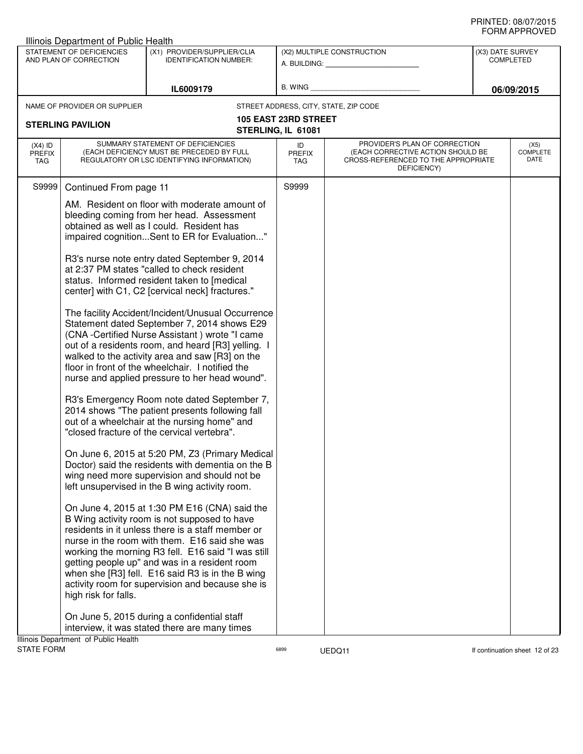|                                   | Illinois Department of Public Health                |                                                                                                                              |                             |                                                                                                                          |                  |                                 |
|-----------------------------------|-----------------------------------------------------|------------------------------------------------------------------------------------------------------------------------------|-----------------------------|--------------------------------------------------------------------------------------------------------------------------|------------------|---------------------------------|
|                                   | STATEMENT OF DEFICIENCIES<br>AND PLAN OF CORRECTION | (X1) PROVIDER/SUPPLIER/CLIA<br><b>IDENTIFICATION NUMBER:</b>                                                                 |                             | (X2) MULTIPLE CONSTRUCTION                                                                                               | (X3) DATE SURVEY | <b>COMPLETED</b>                |
|                                   |                                                     |                                                                                                                              |                             | A. BUILDING: A. BUILDING:                                                                                                |                  |                                 |
|                                   |                                                     |                                                                                                                              |                             |                                                                                                                          |                  |                                 |
|                                   |                                                     | IL6009179                                                                                                                    | B. WING                     |                                                                                                                          |                  | 06/09/2015                      |
|                                   | NAME OF PROVIDER OR SUPPLIER                        |                                                                                                                              |                             | STREET ADDRESS, CITY, STATE, ZIP CODE                                                                                    |                  |                                 |
|                                   | <b>STERLING PAVILION</b>                            |                                                                                                                              | <b>105 EAST 23RD STREET</b> |                                                                                                                          |                  |                                 |
|                                   |                                                     |                                                                                                                              | STERLING, IL 61081          |                                                                                                                          |                  |                                 |
| $(X4)$ ID<br><b>PREFIX</b><br>TAG |                                                     | SUMMARY STATEMENT OF DEFICIENCIES<br>(EACH DEFICIENCY MUST BE PRECEDED BY FULL<br>REGULATORY OR LSC IDENTIFYING INFORMATION) | ID<br><b>PREFIX</b><br>TAG  | PROVIDER'S PLAN OF CORRECTION<br>(EACH CORRECTIVE ACTION SHOULD BE<br>CROSS-REFERENCED TO THE APPROPRIATE<br>DEFICIENCY) |                  | (X5)<br><b>COMPLETE</b><br>DATE |
| S9999                             | Continued From page 11                              |                                                                                                                              | S9999                       |                                                                                                                          |                  |                                 |
|                                   |                                                     | AM. Resident on floor with moderate amount of                                                                                |                             |                                                                                                                          |                  |                                 |
|                                   |                                                     | bleeding coming from her head. Assessment                                                                                    |                             |                                                                                                                          |                  |                                 |
|                                   |                                                     | obtained as well as I could. Resident has                                                                                    |                             |                                                                                                                          |                  |                                 |
|                                   |                                                     | impaired cognitionSent to ER for Evaluation"                                                                                 |                             |                                                                                                                          |                  |                                 |
|                                   |                                                     | R3's nurse note entry dated September 9, 2014                                                                                |                             |                                                                                                                          |                  |                                 |
|                                   |                                                     | at 2:37 PM states "called to check resident                                                                                  |                             |                                                                                                                          |                  |                                 |
|                                   |                                                     | status. Informed resident taken to [medical<br>center] with C1, C2 [cervical neck] fractures."                               |                             |                                                                                                                          |                  |                                 |
|                                   |                                                     |                                                                                                                              |                             |                                                                                                                          |                  |                                 |
|                                   |                                                     | The facility Accident/Incident/Unusual Occurrence                                                                            |                             |                                                                                                                          |                  |                                 |
|                                   |                                                     | Statement dated September 7, 2014 shows E29<br>(CNA-Certified Nurse Assistant) wrote "I came                                 |                             |                                                                                                                          |                  |                                 |
|                                   |                                                     | out of a residents room, and heard [R3] yelling. I                                                                           |                             |                                                                                                                          |                  |                                 |
|                                   |                                                     | walked to the activity area and saw [R3] on the                                                                              |                             |                                                                                                                          |                  |                                 |
|                                   |                                                     | floor in front of the wheelchair. I notified the<br>nurse and applied pressure to her head wound".                           |                             |                                                                                                                          |                  |                                 |
|                                   |                                                     |                                                                                                                              |                             |                                                                                                                          |                  |                                 |
|                                   |                                                     | R3's Emergency Room note dated September 7,                                                                                  |                             |                                                                                                                          |                  |                                 |
|                                   |                                                     | 2014 shows "The patient presents following fall                                                                              |                             |                                                                                                                          |                  |                                 |
|                                   |                                                     | out of a wheelchair at the nursing home" and<br>"closed fracture of the cervical vertebra".                                  |                             |                                                                                                                          |                  |                                 |
|                                   |                                                     |                                                                                                                              |                             |                                                                                                                          |                  |                                 |
|                                   |                                                     | On June 6, 2015 at 5:20 PM, Z3 (Primary Medical                                                                              |                             |                                                                                                                          |                  |                                 |
|                                   |                                                     | Doctor) said the residents with dementia on the B<br>wing need more supervision and should not be                            |                             |                                                                                                                          |                  |                                 |
|                                   |                                                     | left unsupervised in the B wing activity room.                                                                               |                             |                                                                                                                          |                  |                                 |
|                                   |                                                     |                                                                                                                              |                             |                                                                                                                          |                  |                                 |
|                                   |                                                     | On June 4, 2015 at 1:30 PM E16 (CNA) said the<br>B Wing activity room is not supposed to have                                |                             |                                                                                                                          |                  |                                 |
|                                   |                                                     | residents in it unless there is a staff member or                                                                            |                             |                                                                                                                          |                  |                                 |
|                                   |                                                     | nurse in the room with them. E16 said she was                                                                                |                             |                                                                                                                          |                  |                                 |
|                                   |                                                     | working the morning R3 fell. E16 said "I was still<br>getting people up" and was in a resident room                          |                             |                                                                                                                          |                  |                                 |
|                                   |                                                     | when she [R3] fell. E16 said R3 is in the B wing                                                                             |                             |                                                                                                                          |                  |                                 |
|                                   |                                                     | activity room for supervision and because she is                                                                             |                             |                                                                                                                          |                  |                                 |
|                                   | high risk for falls.                                |                                                                                                                              |                             |                                                                                                                          |                  |                                 |
|                                   |                                                     | On June 5, 2015 during a confidential staff                                                                                  |                             |                                                                                                                          |                  |                                 |
|                                   |                                                     | interview, it was stated there are many times                                                                                |                             |                                                                                                                          |                  |                                 |
|                                   | Illinois Department of Public Health                |                                                                                                                              |                             |                                                                                                                          |                  |                                 |
| <b>STATE FORM</b>                 |                                                     |                                                                                                                              | 6899                        | UEDQ11                                                                                                                   |                  | If continuation sheet 12 of 23  |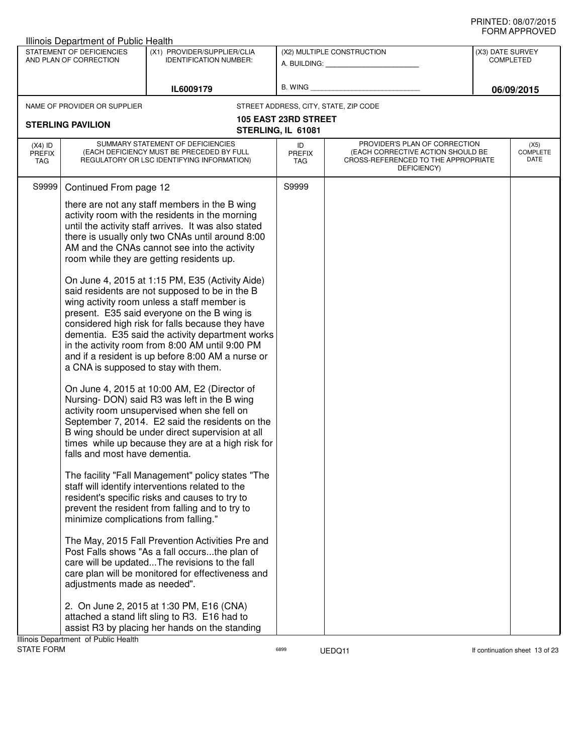|                                   | Illinois Department of Public Health                                                                          |                                                                                                                                                                                                                                                                                                                                                                                                                                                                                                                                                                                                                                                                                                                                                                                                                                                                                                                                                                                                                                         |                                                   |                                                                                                                          |                  |                                 |
|-----------------------------------|---------------------------------------------------------------------------------------------------------------|-----------------------------------------------------------------------------------------------------------------------------------------------------------------------------------------------------------------------------------------------------------------------------------------------------------------------------------------------------------------------------------------------------------------------------------------------------------------------------------------------------------------------------------------------------------------------------------------------------------------------------------------------------------------------------------------------------------------------------------------------------------------------------------------------------------------------------------------------------------------------------------------------------------------------------------------------------------------------------------------------------------------------------------------|---------------------------------------------------|--------------------------------------------------------------------------------------------------------------------------|------------------|---------------------------------|
|                                   | STATEMENT OF DEFICIENCIES<br>AND PLAN OF CORRECTION                                                           | (X1) PROVIDER/SUPPLIER/CLIA<br><b>IDENTIFICATION NUMBER:</b>                                                                                                                                                                                                                                                                                                                                                                                                                                                                                                                                                                                                                                                                                                                                                                                                                                                                                                                                                                            |                                                   | (X2) MULTIPLE CONSTRUCTION<br>A. BUILDING: A. BUILDING:                                                                  | (X3) DATE SURVEY | <b>COMPLETED</b>                |
|                                   |                                                                                                               | IL6009179                                                                                                                                                                                                                                                                                                                                                                                                                                                                                                                                                                                                                                                                                                                                                                                                                                                                                                                                                                                                                               | <b>B. WING</b>                                    |                                                                                                                          |                  | 06/09/2015                      |
|                                   | NAME OF PROVIDER OR SUPPLIER                                                                                  |                                                                                                                                                                                                                                                                                                                                                                                                                                                                                                                                                                                                                                                                                                                                                                                                                                                                                                                                                                                                                                         |                                                   | STREET ADDRESS, CITY, STATE, ZIP CODE                                                                                    |                  |                                 |
|                                   | <b>STERLING PAVILION</b>                                                                                      |                                                                                                                                                                                                                                                                                                                                                                                                                                                                                                                                                                                                                                                                                                                                                                                                                                                                                                                                                                                                                                         | <b>105 EAST 23RD STREET</b><br>STERLING, IL 61081 |                                                                                                                          |                  |                                 |
| $(X4)$ ID<br><b>PREFIX</b><br>TAG |                                                                                                               | SUMMARY STATEMENT OF DEFICIENCIES<br>(EACH DEFICIENCY MUST BE PRECEDED BY FULL<br>REGULATORY OR LSC IDENTIFYING INFORMATION)                                                                                                                                                                                                                                                                                                                                                                                                                                                                                                                                                                                                                                                                                                                                                                                                                                                                                                            | ID<br><b>PREFIX</b><br><b>TAG</b>                 | PROVIDER'S PLAN OF CORRECTION<br>(EACH CORRECTIVE ACTION SHOULD BE<br>CROSS-REFERENCED TO THE APPROPRIATE<br>DEFICIENCY) |                  | (X5)<br><b>COMPLETE</b><br>DATE |
| S9999                             | Continued From page 12                                                                                        |                                                                                                                                                                                                                                                                                                                                                                                                                                                                                                                                                                                                                                                                                                                                                                                                                                                                                                                                                                                                                                         | S9999                                             |                                                                                                                          |                  |                                 |
|                                   | a CNA is supposed to stay with them.<br>falls and most have dementia.                                         | there are not any staff members in the B wing<br>activity room with the residents in the morning<br>until the activity staff arrives. It was also stated<br>there is usually only two CNAs until around 8:00<br>AM and the CNAs cannot see into the activity<br>room while they are getting residents up.<br>On June 4, 2015 at 1:15 PM, E35 (Activity Aide)<br>said residents are not supposed to be in the B<br>wing activity room unless a staff member is<br>present. E35 said everyone on the B wing is<br>considered high risk for falls because they have<br>dementia. E35 said the activity department works<br>in the activity room from 8:00 AM until 9:00 PM<br>and if a resident is up before 8:00 AM a nurse or<br>On June 4, 2015 at 10:00 AM, E2 (Director of<br>Nursing-DON) said R3 was left in the B wing<br>activity room unsupervised when she fell on<br>September 7, 2014. E2 said the residents on the<br>B wing should be under direct supervision at all<br>times while up because they are at a high risk for |                                                   |                                                                                                                          |                  |                                 |
|                                   | minimize complications from falling."<br>adjustments made as needed".<br>Illinois Department of Public Health | The facility "Fall Management" policy states "The<br>staff will identify interventions related to the<br>resident's specific risks and causes to try to<br>prevent the resident from falling and to try to<br>The May, 2015 Fall Prevention Activities Pre and<br>Post Falls shows "As a fall occursthe plan of<br>care will be updatedThe revisions to the fall<br>care plan will be monitored for effectiveness and<br>2. On June 2, 2015 at 1:30 PM, E16 (CNA)<br>attached a stand lift sling to R3. E16 had to<br>assist R3 by placing her hands on the standing                                                                                                                                                                                                                                                                                                                                                                                                                                                                    |                                                   |                                                                                                                          |                  |                                 |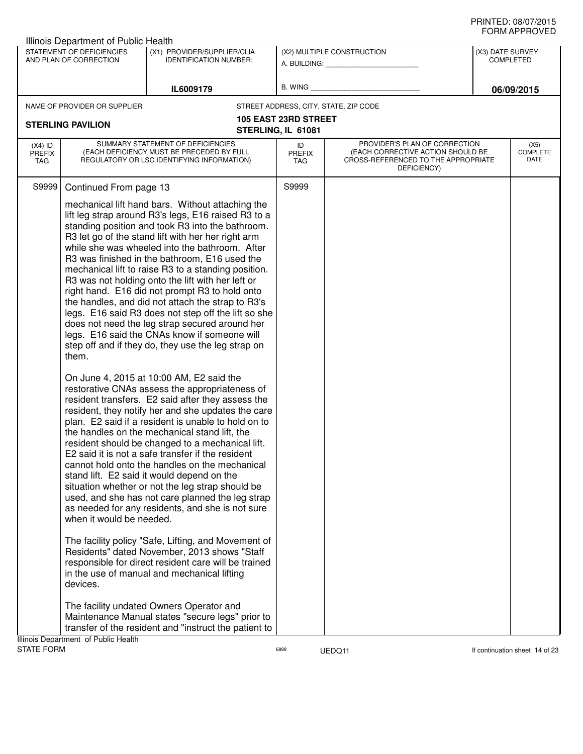|                                   | Illinois Department of Public Health                |                                                                                                                                                                                                                                                                                                                                                                                                                                                                                                                                                                                                                                                                                                                                                        |                             |                                                                                                                          |                  |                                 |
|-----------------------------------|-----------------------------------------------------|--------------------------------------------------------------------------------------------------------------------------------------------------------------------------------------------------------------------------------------------------------------------------------------------------------------------------------------------------------------------------------------------------------------------------------------------------------------------------------------------------------------------------------------------------------------------------------------------------------------------------------------------------------------------------------------------------------------------------------------------------------|-----------------------------|--------------------------------------------------------------------------------------------------------------------------|------------------|---------------------------------|
|                                   | STATEMENT OF DEFICIENCIES<br>AND PLAN OF CORRECTION | (X1) PROVIDER/SUPPLIER/CLIA                                                                                                                                                                                                                                                                                                                                                                                                                                                                                                                                                                                                                                                                                                                            |                             | (X2) MULTIPLE CONSTRUCTION                                                                                               | (X3) DATE SURVEY |                                 |
|                                   |                                                     | <b>IDENTIFICATION NUMBER:</b>                                                                                                                                                                                                                                                                                                                                                                                                                                                                                                                                                                                                                                                                                                                          |                             | A. BUILDING: A. BUILDING:                                                                                                |                  | <b>COMPLETED</b>                |
|                                   |                                                     |                                                                                                                                                                                                                                                                                                                                                                                                                                                                                                                                                                                                                                                                                                                                                        |                             |                                                                                                                          |                  |                                 |
|                                   |                                                     | IL6009179                                                                                                                                                                                                                                                                                                                                                                                                                                                                                                                                                                                                                                                                                                                                              | B. WING                     |                                                                                                                          |                  | 06/09/2015                      |
|                                   | NAME OF PROVIDER OR SUPPLIER                        |                                                                                                                                                                                                                                                                                                                                                                                                                                                                                                                                                                                                                                                                                                                                                        |                             | STREET ADDRESS, CITY, STATE, ZIP CODE                                                                                    |                  |                                 |
|                                   | <b>STERLING PAVILION</b>                            |                                                                                                                                                                                                                                                                                                                                                                                                                                                                                                                                                                                                                                                                                                                                                        | <b>105 EAST 23RD STREET</b> |                                                                                                                          |                  |                                 |
|                                   |                                                     |                                                                                                                                                                                                                                                                                                                                                                                                                                                                                                                                                                                                                                                                                                                                                        | STERLING, IL 61081          |                                                                                                                          |                  |                                 |
| $(X4)$ ID<br><b>PREFIX</b><br>TAG |                                                     | SUMMARY STATEMENT OF DEFICIENCIES<br>(EACH DEFICIENCY MUST BE PRECEDED BY FULL<br>REGULATORY OR LSC IDENTIFYING INFORMATION)                                                                                                                                                                                                                                                                                                                                                                                                                                                                                                                                                                                                                           | ID<br><b>PREFIX</b><br>TAG  | PROVIDER'S PLAN OF CORRECTION<br>(EACH CORRECTIVE ACTION SHOULD BE<br>CROSS-REFERENCED TO THE APPROPRIATE<br>DEFICIENCY) |                  | (X5)<br><b>COMPLETE</b><br>DATE |
| S9999                             | Continued From page 13                              |                                                                                                                                                                                                                                                                                                                                                                                                                                                                                                                                                                                                                                                                                                                                                        | S9999                       |                                                                                                                          |                  |                                 |
|                                   | them.                                               | mechanical lift hand bars. Without attaching the<br>lift leg strap around R3's legs, E16 raised R3 to a<br>standing position and took R3 into the bathroom.<br>R3 let go of the stand lift with her her right arm<br>while she was wheeled into the bathroom. After<br>R3 was finished in the bathroom, E16 used the<br>mechanical lift to raise R3 to a standing position.<br>R3 was not holding onto the lift with her left or<br>right hand. E16 did not prompt R3 to hold onto<br>the handles, and did not attach the strap to R3's<br>legs. E16 said R3 does not step off the lift so she<br>does not need the leg strap secured around her<br>legs. E16 said the CNAs know if someone will<br>step off and if they do, they use the leg strap on |                             |                                                                                                                          |                  |                                 |
|                                   | when it would be needed.                            | On June 4, 2015 at 10:00 AM, E2 said the<br>restorative CNAs assess the appropriateness of<br>resident transfers. E2 said after they assess the<br>resident, they notify her and she updates the care<br>plan. E2 said if a resident is unable to hold on to<br>the handles on the mechanical stand lift, the<br>resident should be changed to a mechanical lift.<br>E2 said it is not a safe transfer if the resident<br>cannot hold onto the handles on the mechanical<br>stand lift. E2 said it would depend on the<br>situation whether or not the leg strap should be<br>used, and she has not care planned the leg strap<br>as needed for any residents, and she is not sure                                                                     |                             |                                                                                                                          |                  |                                 |
|                                   | devices.                                            | The facility policy "Safe, Lifting, and Movement of<br>Residents" dated November, 2013 shows "Staff<br>responsible for direct resident care will be trained<br>in the use of manual and mechanical lifting                                                                                                                                                                                                                                                                                                                                                                                                                                                                                                                                             |                             |                                                                                                                          |                  |                                 |
|                                   |                                                     | The facility undated Owners Operator and<br>Maintenance Manual states "secure legs" prior to<br>transfer of the resident and "instruct the patient to                                                                                                                                                                                                                                                                                                                                                                                                                                                                                                                                                                                                  |                             |                                                                                                                          |                  |                                 |
| <b>STATE FORM</b>                 | Illinois Department of Public Health                |                                                                                                                                                                                                                                                                                                                                                                                                                                                                                                                                                                                                                                                                                                                                                        | 6899                        | UEDQ11                                                                                                                   |                  | If continuation sheet 14 of 23  |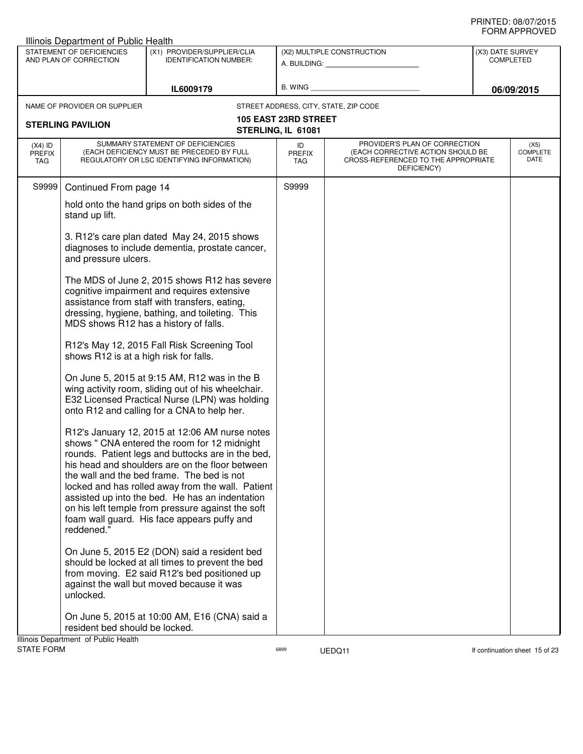|                                          | Illinois Department of Public Health                |                                                                                                                                                                                                                                                                                                                                                                                                                                                                  |                             |                                                                                                                          |                  |                                 |
|------------------------------------------|-----------------------------------------------------|------------------------------------------------------------------------------------------------------------------------------------------------------------------------------------------------------------------------------------------------------------------------------------------------------------------------------------------------------------------------------------------------------------------------------------------------------------------|-----------------------------|--------------------------------------------------------------------------------------------------------------------------|------------------|---------------------------------|
|                                          | STATEMENT OF DEFICIENCIES<br>AND PLAN OF CORRECTION | (X1) PROVIDER/SUPPLIER/CLIA<br><b>IDENTIFICATION NUMBER:</b>                                                                                                                                                                                                                                                                                                                                                                                                     |                             | (X2) MULTIPLE CONSTRUCTION                                                                                               | (X3) DATE SURVEY | <b>COMPLETED</b>                |
|                                          |                                                     |                                                                                                                                                                                                                                                                                                                                                                                                                                                                  |                             | A. BUILDING: A. BUILDING:                                                                                                |                  |                                 |
|                                          |                                                     | IL6009179                                                                                                                                                                                                                                                                                                                                                                                                                                                        | B. WING                     |                                                                                                                          |                  | 06/09/2015                      |
|                                          |                                                     |                                                                                                                                                                                                                                                                                                                                                                                                                                                                  |                             |                                                                                                                          |                  |                                 |
|                                          | NAME OF PROVIDER OR SUPPLIER                        |                                                                                                                                                                                                                                                                                                                                                                                                                                                                  | <b>105 EAST 23RD STREET</b> | STREET ADDRESS, CITY, STATE, ZIP CODE                                                                                    |                  |                                 |
|                                          | <b>STERLING PAVILION</b>                            |                                                                                                                                                                                                                                                                                                                                                                                                                                                                  | STERLING, IL 61081          |                                                                                                                          |                  |                                 |
| $(X4)$ ID<br><b>PREFIX</b><br><b>TAG</b> |                                                     | SUMMARY STATEMENT OF DEFICIENCIES<br>(EACH DEFICIENCY MUST BE PRECEDED BY FULL<br>REGULATORY OR LSC IDENTIFYING INFORMATION)                                                                                                                                                                                                                                                                                                                                     | ID<br><b>PREFIX</b><br>TAG  | PROVIDER'S PLAN OF CORRECTION<br>(EACH CORRECTIVE ACTION SHOULD BE<br>CROSS-REFERENCED TO THE APPROPRIATE<br>DEFICIENCY) |                  | (X5)<br><b>COMPLETE</b><br>DATE |
| S9999                                    | Continued From page 14                              |                                                                                                                                                                                                                                                                                                                                                                                                                                                                  | S9999                       |                                                                                                                          |                  |                                 |
|                                          | stand up lift.                                      | hold onto the hand grips on both sides of the                                                                                                                                                                                                                                                                                                                                                                                                                    |                             |                                                                                                                          |                  |                                 |
|                                          | and pressure ulcers.                                | 3. R12's care plan dated May 24, 2015 shows<br>diagnoses to include dementia, prostate cancer,                                                                                                                                                                                                                                                                                                                                                                   |                             |                                                                                                                          |                  |                                 |
|                                          |                                                     | The MDS of June 2, 2015 shows R12 has severe<br>cognitive impairment and requires extensive<br>assistance from staff with transfers, eating,<br>dressing, hygiene, bathing, and toileting. This<br>MDS shows R12 has a history of falls.                                                                                                                                                                                                                         |                             |                                                                                                                          |                  |                                 |
|                                          | shows R12 is at a high risk for falls.              | R12's May 12, 2015 Fall Risk Screening Tool                                                                                                                                                                                                                                                                                                                                                                                                                      |                             |                                                                                                                          |                  |                                 |
|                                          |                                                     | On June 5, 2015 at 9:15 AM, R12 was in the B<br>wing activity room, sliding out of his wheelchair.<br>E32 Licensed Practical Nurse (LPN) was holding<br>onto R12 and calling for a CNA to help her.                                                                                                                                                                                                                                                              |                             |                                                                                                                          |                  |                                 |
|                                          | reddened."                                          | R12's January 12, 2015 at 12:06 AM nurse notes<br>shows " CNA entered the room for 12 midnight<br>rounds. Patient legs and buttocks are in the bed,<br>his head and shoulders are on the floor between<br>the wall and the bed frame. The bed is not<br>locked and has rolled away from the wall. Patient<br>assisted up into the bed. He has an indentation<br>on his left temple from pressure against the soft<br>foam wall guard. His face appears puffy and |                             |                                                                                                                          |                  |                                 |
|                                          | unlocked.                                           | On June 5, 2015 E2 (DON) said a resident bed<br>should be locked at all times to prevent the bed<br>from moving. E2 said R12's bed positioned up<br>against the wall but moved because it was                                                                                                                                                                                                                                                                    |                             |                                                                                                                          |                  |                                 |
|                                          | resident bed should be locked.                      | On June 5, 2015 at 10:00 AM, E16 (CNA) said a                                                                                                                                                                                                                                                                                                                                                                                                                    |                             |                                                                                                                          |                  |                                 |
| <b>STATE FORM</b>                        | Illinois Department of Public Health                |                                                                                                                                                                                                                                                                                                                                                                                                                                                                  | 6899                        | UEDQ11                                                                                                                   |                  | If continuation sheet 15 of 23  |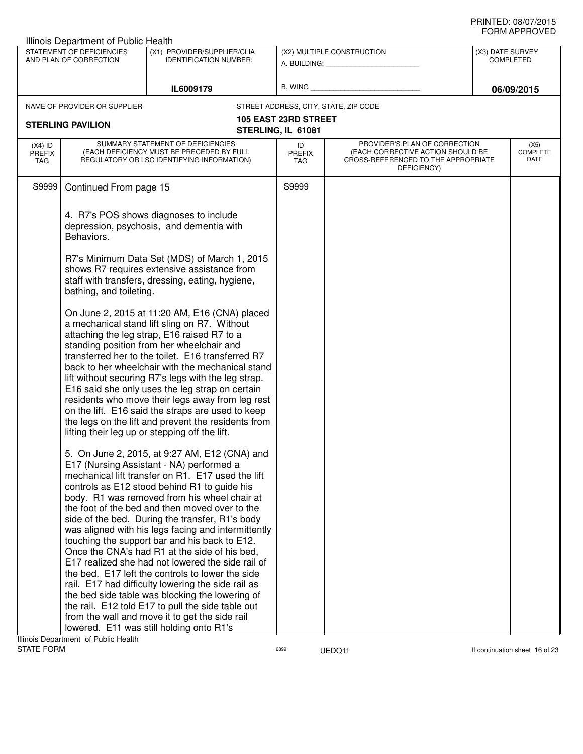|                                          | Illinois Department of Public Health                |                                                                                                                                                                                                                                                                                                                                                                                                                                                                                                                                                                                                                                                                                                                                                                                                                                                                                   |                                                   |                                                                                                                          | שם ערו וחשווט                        |
|------------------------------------------|-----------------------------------------------------|-----------------------------------------------------------------------------------------------------------------------------------------------------------------------------------------------------------------------------------------------------------------------------------------------------------------------------------------------------------------------------------------------------------------------------------------------------------------------------------------------------------------------------------------------------------------------------------------------------------------------------------------------------------------------------------------------------------------------------------------------------------------------------------------------------------------------------------------------------------------------------------|---------------------------------------------------|--------------------------------------------------------------------------------------------------------------------------|--------------------------------------|
|                                          | STATEMENT OF DEFICIENCIES<br>AND PLAN OF CORRECTION | (X1) PROVIDER/SUPPLIER/CLIA<br><b>IDENTIFICATION NUMBER:</b>                                                                                                                                                                                                                                                                                                                                                                                                                                                                                                                                                                                                                                                                                                                                                                                                                      |                                                   | (X2) MULTIPLE CONSTRUCTION                                                                                               | (X3) DATE SURVEY<br><b>COMPLETED</b> |
|                                          |                                                     | IL6009179                                                                                                                                                                                                                                                                                                                                                                                                                                                                                                                                                                                                                                                                                                                                                                                                                                                                         |                                                   | B. WING <b>Example 2008</b>                                                                                              | 06/09/2015                           |
|                                          | NAME OF PROVIDER OR SUPPLIER                        |                                                                                                                                                                                                                                                                                                                                                                                                                                                                                                                                                                                                                                                                                                                                                                                                                                                                                   |                                                   | STREET ADDRESS, CITY, STATE, ZIP CODE                                                                                    |                                      |
|                                          | <b>STERLING PAVILION</b>                            |                                                                                                                                                                                                                                                                                                                                                                                                                                                                                                                                                                                                                                                                                                                                                                                                                                                                                   | <b>105 EAST 23RD STREET</b><br>STERLING, IL 61081 |                                                                                                                          |                                      |
| $(X4)$ ID<br><b>PREFIX</b><br><b>TAG</b> |                                                     | SUMMARY STATEMENT OF DEFICIENCIES<br>(EACH DEFICIENCY MUST BE PRECEDED BY FULL<br>REGULATORY OR LSC IDENTIFYING INFORMATION)                                                                                                                                                                                                                                                                                                                                                                                                                                                                                                                                                                                                                                                                                                                                                      | ID<br><b>PREFIX</b><br>TAG                        | PROVIDER'S PLAN OF CORRECTION<br>(EACH CORRECTIVE ACTION SHOULD BE<br>CROSS-REFERENCED TO THE APPROPRIATE<br>DEFICIENCY) | (X5)<br>COMPLETE<br>DATE             |
| S9999                                    | Continued From page 15                              |                                                                                                                                                                                                                                                                                                                                                                                                                                                                                                                                                                                                                                                                                                                                                                                                                                                                                   | S9999                                             |                                                                                                                          |                                      |
|                                          | Behaviors.                                          | 4. R7's POS shows diagnoses to include<br>depression, psychosis, and dementia with                                                                                                                                                                                                                                                                                                                                                                                                                                                                                                                                                                                                                                                                                                                                                                                                |                                                   |                                                                                                                          |                                      |
|                                          | bathing, and toileting.                             | R7's Minimum Data Set (MDS) of March 1, 2015<br>shows R7 requires extensive assistance from<br>staff with transfers, dressing, eating, hygiene,                                                                                                                                                                                                                                                                                                                                                                                                                                                                                                                                                                                                                                                                                                                                   |                                                   |                                                                                                                          |                                      |
|                                          |                                                     | On June 2, 2015 at 11:20 AM, E16 (CNA) placed<br>a mechanical stand lift sling on R7. Without<br>attaching the leg strap, E16 raised R7 to a<br>standing position from her wheelchair and<br>transferred her to the toilet. E16 transferred R7<br>back to her wheelchair with the mechanical stand<br>lift without securing R7's legs with the leg strap.<br>E16 said she only uses the leg strap on certain<br>residents who move their legs away from leg rest<br>on the lift. E16 said the straps are used to keep<br>the legs on the lift and prevent the residents from<br>lifting their leg up or stepping off the lift.                                                                                                                                                                                                                                                    |                                                   |                                                                                                                          |                                      |
|                                          | Ilinois Denartment of Public Health                 | 5. On June 2, 2015, at 9:27 AM, E12 (CNA) and<br>E17 (Nursing Assistant - NA) performed a<br>mechanical lift transfer on R1. E17 used the lift<br>controls as E12 stood behind R1 to guide his<br>body. R1 was removed from his wheel chair at<br>the foot of the bed and then moved over to the<br>side of the bed. During the transfer, R1's body<br>was aligned with his legs facing and intermittently<br>touching the support bar and his back to E12.<br>Once the CNA's had R1 at the side of his bed,<br>E17 realized she had not lowered the side rail of<br>the bed. E17 left the controls to lower the side<br>rail. E17 had difficulty lowering the side rail as<br>the bed side table was blocking the lowering of<br>the rail. E12 told E17 to pull the side table out<br>from the wall and move it to get the side rail<br>lowered. E11 was still holding onto R1's |                                                   |                                                                                                                          |                                      |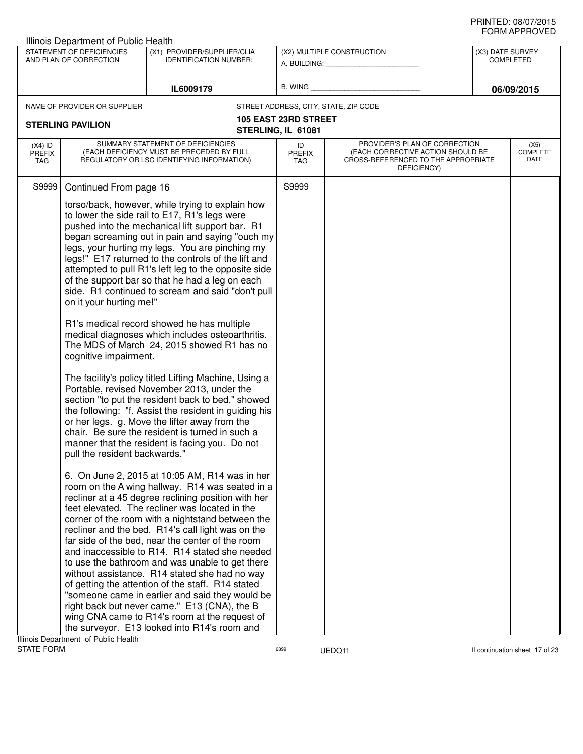|                                   | Illinois Department of Public Health                                              |                                                                                                                                                                                                                                                                                                                                                                                                                                                                                                                                                                                                                                                                                                                                                                                                                                                                                                                                                                                                              |                                                   |                                                                                                                          |                  | ש∟יטוו ו ותושוט                 |
|-----------------------------------|-----------------------------------------------------------------------------------|--------------------------------------------------------------------------------------------------------------------------------------------------------------------------------------------------------------------------------------------------------------------------------------------------------------------------------------------------------------------------------------------------------------------------------------------------------------------------------------------------------------------------------------------------------------------------------------------------------------------------------------------------------------------------------------------------------------------------------------------------------------------------------------------------------------------------------------------------------------------------------------------------------------------------------------------------------------------------------------------------------------|---------------------------------------------------|--------------------------------------------------------------------------------------------------------------------------|------------------|---------------------------------|
|                                   | STATEMENT OF DEFICIENCIES<br>AND PLAN OF CORRECTION                               | (X1) PROVIDER/SUPPLIER/CLIA<br><b>IDENTIFICATION NUMBER:</b>                                                                                                                                                                                                                                                                                                                                                                                                                                                                                                                                                                                                                                                                                                                                                                                                                                                                                                                                                 |                                                   | (X2) MULTIPLE CONSTRUCTION<br>A. BUILDING: A. BUILDING:                                                                  | (X3) DATE SURVEY | <b>COMPLETED</b>                |
|                                   |                                                                                   | IL6009179                                                                                                                                                                                                                                                                                                                                                                                                                                                                                                                                                                                                                                                                                                                                                                                                                                                                                                                                                                                                    |                                                   | B. WING <b>Example 2008</b>                                                                                              |                  | 06/09/2015                      |
|                                   | NAME OF PROVIDER OR SUPPLIER                                                      |                                                                                                                                                                                                                                                                                                                                                                                                                                                                                                                                                                                                                                                                                                                                                                                                                                                                                                                                                                                                              |                                                   | STREET ADDRESS, CITY, STATE, ZIP CODE                                                                                    |                  |                                 |
|                                   | <b>STERLING PAVILION</b>                                                          |                                                                                                                                                                                                                                                                                                                                                                                                                                                                                                                                                                                                                                                                                                                                                                                                                                                                                                                                                                                                              | <b>105 EAST 23RD STREET</b><br>STERLING, IL 61081 |                                                                                                                          |                  |                                 |
| $(X4)$ ID<br><b>PREFIX</b><br>TAG |                                                                                   | SUMMARY STATEMENT OF DEFICIENCIES<br>(EACH DEFICIENCY MUST BE PRECEDED BY FULL<br>REGULATORY OR LSC IDENTIFYING INFORMATION)                                                                                                                                                                                                                                                                                                                                                                                                                                                                                                                                                                                                                                                                                                                                                                                                                                                                                 | ID<br><b>PREFIX</b><br>TAG                        | PROVIDER'S PLAN OF CORRECTION<br>(EACH CORRECTIVE ACTION SHOULD BE<br>CROSS-REFERENCED TO THE APPROPRIATE<br>DEFICIENCY) |                  | (X5)<br><b>COMPLETE</b><br>DATE |
| S9999                             | Continued From page 16                                                            |                                                                                                                                                                                                                                                                                                                                                                                                                                                                                                                                                                                                                                                                                                                                                                                                                                                                                                                                                                                                              | S9999                                             |                                                                                                                          |                  |                                 |
|                                   | on it your hurting me!"<br>cognitive impairment.<br>pull the resident backwards." | torso/back, however, while trying to explain how<br>to lower the side rail to E17, R1's legs were<br>pushed into the mechanical lift support bar. R1<br>began screaming out in pain and saying "ouch my<br>legs, your hurting my legs. You are pinching my<br>legs!" E17 returned to the controls of the lift and<br>attempted to pull R1's left leg to the opposite side<br>of the support bar so that he had a leg on each<br>side. R1 continued to scream and said "don't pull<br>R1's medical record showed he has multiple<br>medical diagnoses which includes osteoarthritis.<br>The MDS of March 24, 2015 showed R1 has no<br>The facility's policy titled Lifting Machine, Using a<br>Portable, revised November 2013, under the<br>section "to put the resident back to bed," showed<br>the following: "f. Assist the resident in guiding his<br>or her legs. g. Move the lifter away from the<br>chair. Be sure the resident is turned in such a<br>manner that the resident is facing you. Do not |                                                   |                                                                                                                          |                  |                                 |
|                                   | Ilinoin Department, of Public Hoolth                                              | 6. On June 2, 2015 at 10:05 AM, R14 was in her<br>room on the A wing hallway. R14 was seated in a<br>recliner at a 45 degree reclining position with her<br>feet elevated. The recliner was located in the<br>corner of the room with a nightstand between the<br>recliner and the bed. R14's call light was on the<br>far side of the bed, near the center of the room<br>and inaccessible to R14. R14 stated she needed<br>to use the bathroom and was unable to get there<br>without assistance. R14 stated she had no way<br>of getting the attention of the staff. R14 stated<br>"someone came in earlier and said they would be<br>right back but never came." E13 (CNA), the B<br>wing CNA came to R14's room at the request of<br>the surveyor. E13 looked into R14's room and                                                                                                                                                                                                                       |                                                   |                                                                                                                          |                  |                                 |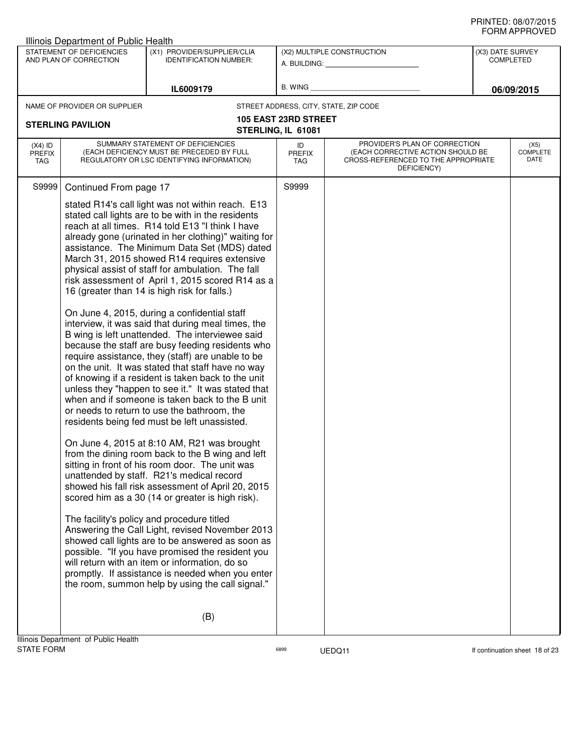|                                   | <b>Illinois Department of Public Health</b>         |                                                                                                                                                                                                                                                                                                                                                                                                                                                                                                                                                                                                                                                                                                                                                                                                                                                                                                                                                                                                                                                                                                                                                                                                                                                                                                                                                                                                                                                                                                                                                                                                                                                                                                                                                  |                                   |                                                                                                                          |                                      |                                 |
|-----------------------------------|-----------------------------------------------------|--------------------------------------------------------------------------------------------------------------------------------------------------------------------------------------------------------------------------------------------------------------------------------------------------------------------------------------------------------------------------------------------------------------------------------------------------------------------------------------------------------------------------------------------------------------------------------------------------------------------------------------------------------------------------------------------------------------------------------------------------------------------------------------------------------------------------------------------------------------------------------------------------------------------------------------------------------------------------------------------------------------------------------------------------------------------------------------------------------------------------------------------------------------------------------------------------------------------------------------------------------------------------------------------------------------------------------------------------------------------------------------------------------------------------------------------------------------------------------------------------------------------------------------------------------------------------------------------------------------------------------------------------------------------------------------------------------------------------------------------------|-----------------------------------|--------------------------------------------------------------------------------------------------------------------------|--------------------------------------|---------------------------------|
|                                   | STATEMENT OF DEFICIENCIES<br>AND PLAN OF CORRECTION | (X1) PROVIDER/SUPPLIER/CLIA<br><b>IDENTIFICATION NUMBER:</b>                                                                                                                                                                                                                                                                                                                                                                                                                                                                                                                                                                                                                                                                                                                                                                                                                                                                                                                                                                                                                                                                                                                                                                                                                                                                                                                                                                                                                                                                                                                                                                                                                                                                                     |                                   | (X2) MULTIPLE CONSTRUCTION                                                                                               | (X3) DATE SURVEY<br><b>COMPLETED</b> |                                 |
|                                   |                                                     |                                                                                                                                                                                                                                                                                                                                                                                                                                                                                                                                                                                                                                                                                                                                                                                                                                                                                                                                                                                                                                                                                                                                                                                                                                                                                                                                                                                                                                                                                                                                                                                                                                                                                                                                                  |                                   | A. BUILDING: A. BUILDING:                                                                                                |                                      |                                 |
|                                   |                                                     | IL6009179                                                                                                                                                                                                                                                                                                                                                                                                                                                                                                                                                                                                                                                                                                                                                                                                                                                                                                                                                                                                                                                                                                                                                                                                                                                                                                                                                                                                                                                                                                                                                                                                                                                                                                                                        | B. WING                           |                                                                                                                          |                                      | 06/09/2015                      |
|                                   | NAME OF PROVIDER OR SUPPLIER                        |                                                                                                                                                                                                                                                                                                                                                                                                                                                                                                                                                                                                                                                                                                                                                                                                                                                                                                                                                                                                                                                                                                                                                                                                                                                                                                                                                                                                                                                                                                                                                                                                                                                                                                                                                  |                                   | STREET ADDRESS, CITY, STATE, ZIP CODE                                                                                    |                                      |                                 |
|                                   | <b>STERLING PAVILION</b>                            |                                                                                                                                                                                                                                                                                                                                                                                                                                                                                                                                                                                                                                                                                                                                                                                                                                                                                                                                                                                                                                                                                                                                                                                                                                                                                                                                                                                                                                                                                                                                                                                                                                                                                                                                                  | <b>105 EAST 23RD STREET</b>       |                                                                                                                          |                                      |                                 |
|                                   |                                                     |                                                                                                                                                                                                                                                                                                                                                                                                                                                                                                                                                                                                                                                                                                                                                                                                                                                                                                                                                                                                                                                                                                                                                                                                                                                                                                                                                                                                                                                                                                                                                                                                                                                                                                                                                  | STERLING, IL 61081                |                                                                                                                          |                                      |                                 |
| $(X4)$ ID<br><b>PREFIX</b><br>TAG |                                                     | SUMMARY STATEMENT OF DEFICIENCIES<br>(EACH DEFICIENCY MUST BE PRECEDED BY FULL<br>REGULATORY OR LSC IDENTIFYING INFORMATION)                                                                                                                                                                                                                                                                                                                                                                                                                                                                                                                                                                                                                                                                                                                                                                                                                                                                                                                                                                                                                                                                                                                                                                                                                                                                                                                                                                                                                                                                                                                                                                                                                     | ID<br><b>PREFIX</b><br><b>TAG</b> | PROVIDER'S PLAN OF CORRECTION<br>(EACH CORRECTIVE ACTION SHOULD BE<br>CROSS-REFERENCED TO THE APPROPRIATE<br>DEFICIENCY) |                                      | (X5)<br><b>COMPLETE</b><br>DATE |
| S9999                             | Continued From page 17                              |                                                                                                                                                                                                                                                                                                                                                                                                                                                                                                                                                                                                                                                                                                                                                                                                                                                                                                                                                                                                                                                                                                                                                                                                                                                                                                                                                                                                                                                                                                                                                                                                                                                                                                                                                  | S9999                             |                                                                                                                          |                                      |                                 |
|                                   |                                                     | stated R14's call light was not within reach. E13<br>stated call lights are to be with in the residents<br>reach at all times. R14 told E13 "I think I have<br>already gone (urinated in her clothing)" waiting for<br>assistance. The Minimum Data Set (MDS) dated<br>March 31, 2015 showed R14 requires extensive<br>physical assist of staff for ambulation. The fall<br>risk assessment of April 1, 2015 scored R14 as a<br>16 (greater than 14 is high risk for falls.)<br>On June 4, 2015, during a confidential staff<br>interview, it was said that during meal times, the<br>B wing is left unattended. The interviewee said<br>because the staff are busy feeding residents who<br>require assistance, they (staff) are unable to be<br>on the unit. It was stated that staff have no way<br>of knowing if a resident is taken back to the unit<br>unless they "happen to see it." It was stated that<br>when and if someone is taken back to the B unit<br>or needs to return to use the bathroom, the<br>residents being fed must be left unassisted.<br>On June 4, 2015 at 8:10 AM, R21 was brought<br>from the dining room back to the B wing and left<br>sitting in front of his room door. The unit was<br>unattended by staff. R21's medical record<br>showed his fall risk assessment of April 20, 2015<br>scored him as a 30 (14 or greater is high risk).<br>The facility's policy and procedure titled<br>Answering the Call Light, revised November 2013<br>showed call lights are to be answered as soon as<br>possible. "If you have promised the resident you<br>will return with an item or information, do so<br>promptly. If assistance is needed when you enter<br>the room, summon help by using the call signal." |                                   |                                                                                                                          |                                      |                                 |
|                                   | Illinois Denartment, of Public Health               | (B)                                                                                                                                                                                                                                                                                                                                                                                                                                                                                                                                                                                                                                                                                                                                                                                                                                                                                                                                                                                                                                                                                                                                                                                                                                                                                                                                                                                                                                                                                                                                                                                                                                                                                                                                              |                                   |                                                                                                                          |                                      |                                 |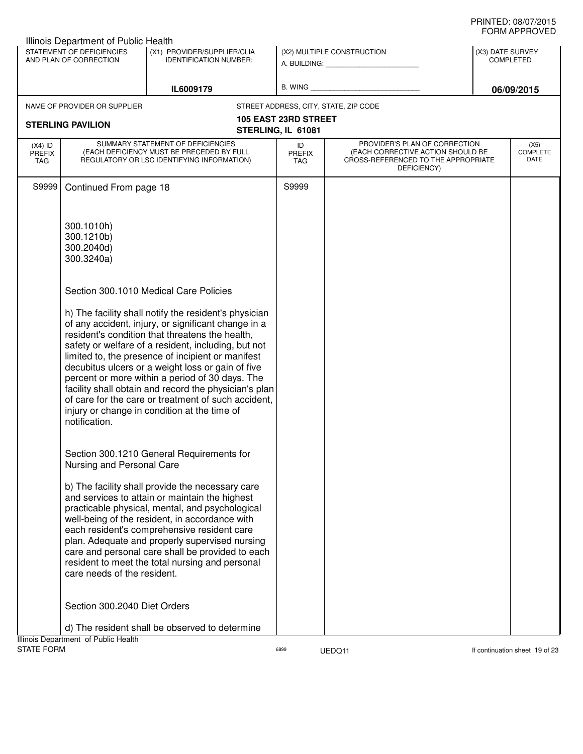|                   | Illinois Department of Public Health                |                                                                                                          |                                                   |                                                                          |                                      |
|-------------------|-----------------------------------------------------|----------------------------------------------------------------------------------------------------------|---------------------------------------------------|--------------------------------------------------------------------------|--------------------------------------|
|                   | STATEMENT OF DEFICIENCIES<br>AND PLAN OF CORRECTION | (X1) PROVIDER/SUPPLIER/CLIA<br><b>IDENTIFICATION NUMBER:</b>                                             |                                                   | (X2) MULTIPLE CONSTRUCTION                                               | (X3) DATE SURVEY<br><b>COMPLETED</b> |
|                   |                                                     |                                                                                                          |                                                   | A. BUILDING: <b>A. BUILDING:</b>                                         |                                      |
|                   |                                                     |                                                                                                          | B. WING                                           |                                                                          |                                      |
|                   |                                                     | IL6009179                                                                                                |                                                   |                                                                          | 06/09/2015                           |
|                   | NAME OF PROVIDER OR SUPPLIER                        |                                                                                                          |                                                   | STREET ADDRESS, CITY, STATE, ZIP CODE                                    |                                      |
|                   | <b>STERLING PAVILION</b>                            |                                                                                                          | <b>105 EAST 23RD STREET</b><br>STERLING, IL 61081 |                                                                          |                                      |
| $(X4)$ ID         |                                                     | SUMMARY STATEMENT OF DEFICIENCIES                                                                        | ID                                                | PROVIDER'S PLAN OF CORRECTION                                            | (X5)                                 |
| <b>PREFIX</b>     |                                                     | (EACH DEFICIENCY MUST BE PRECEDED BY FULL<br>REGULATORY OR LSC IDENTIFYING INFORMATION)                  | <b>PREFIX</b>                                     | (EACH CORRECTIVE ACTION SHOULD BE<br>CROSS-REFERENCED TO THE APPROPRIATE | <b>COMPLETE</b><br>DATE              |
| <b>TAG</b>        |                                                     |                                                                                                          | TAG                                               | DEFICIENCY)                                                              |                                      |
| S9999             | Continued From page 18                              |                                                                                                          | S9999                                             |                                                                          |                                      |
|                   |                                                     |                                                                                                          |                                                   |                                                                          |                                      |
|                   |                                                     |                                                                                                          |                                                   |                                                                          |                                      |
|                   | 300.1010h)                                          |                                                                                                          |                                                   |                                                                          |                                      |
|                   | 300.1210b)<br>300.2040d)                            |                                                                                                          |                                                   |                                                                          |                                      |
|                   | 300.3240a)                                          |                                                                                                          |                                                   |                                                                          |                                      |
|                   |                                                     |                                                                                                          |                                                   |                                                                          |                                      |
|                   |                                                     | Section 300.1010 Medical Care Policies                                                                   |                                                   |                                                                          |                                      |
|                   |                                                     |                                                                                                          |                                                   |                                                                          |                                      |
|                   |                                                     | h) The facility shall notify the resident's physician                                                    |                                                   |                                                                          |                                      |
|                   |                                                     | of any accident, injury, or significant change in a                                                      |                                                   |                                                                          |                                      |
|                   |                                                     | resident's condition that threatens the health,<br>safety or welfare of a resident, including, but not   |                                                   |                                                                          |                                      |
|                   |                                                     | limited to, the presence of incipient or manifest                                                        |                                                   |                                                                          |                                      |
|                   |                                                     | decubitus ulcers or a weight loss or gain of five                                                        |                                                   |                                                                          |                                      |
|                   |                                                     | percent or more within a period of 30 days. The<br>facility shall obtain and record the physician's plan |                                                   |                                                                          |                                      |
|                   |                                                     | of care for the care or treatment of such accident,                                                      |                                                   |                                                                          |                                      |
|                   |                                                     | injury or change in condition at the time of                                                             |                                                   |                                                                          |                                      |
|                   | notification.                                       |                                                                                                          |                                                   |                                                                          |                                      |
|                   |                                                     |                                                                                                          |                                                   |                                                                          |                                      |
|                   |                                                     | Section 300.1210 General Requirements for                                                                |                                                   |                                                                          |                                      |
|                   | Nursing and Personal Care                           |                                                                                                          |                                                   |                                                                          |                                      |
|                   |                                                     | b) The facility shall provide the necessary care                                                         |                                                   |                                                                          |                                      |
|                   |                                                     | and services to attain or maintain the highest                                                           |                                                   |                                                                          |                                      |
|                   |                                                     | practicable physical, mental, and psychological<br>well-being of the resident, in accordance with        |                                                   |                                                                          |                                      |
|                   |                                                     | each resident's comprehensive resident care                                                              |                                                   |                                                                          |                                      |
|                   |                                                     | plan. Adequate and properly supervised nursing                                                           |                                                   |                                                                          |                                      |
|                   |                                                     | care and personal care shall be provided to each                                                         |                                                   |                                                                          |                                      |
|                   | care needs of the resident.                         | resident to meet the total nursing and personal                                                          |                                                   |                                                                          |                                      |
|                   |                                                     |                                                                                                          |                                                   |                                                                          |                                      |
|                   |                                                     |                                                                                                          |                                                   |                                                                          |                                      |
|                   | Section 300.2040 Diet Orders                        |                                                                                                          |                                                   |                                                                          |                                      |
|                   |                                                     | d) The resident shall be observed to determine                                                           |                                                   |                                                                          |                                      |
|                   | Illinois Department of Public Health                |                                                                                                          |                                                   |                                                                          |                                      |
| <b>STATE FORM</b> |                                                     |                                                                                                          | 6899                                              | UEDQ11                                                                   | If continuation sheet 19 of 23       |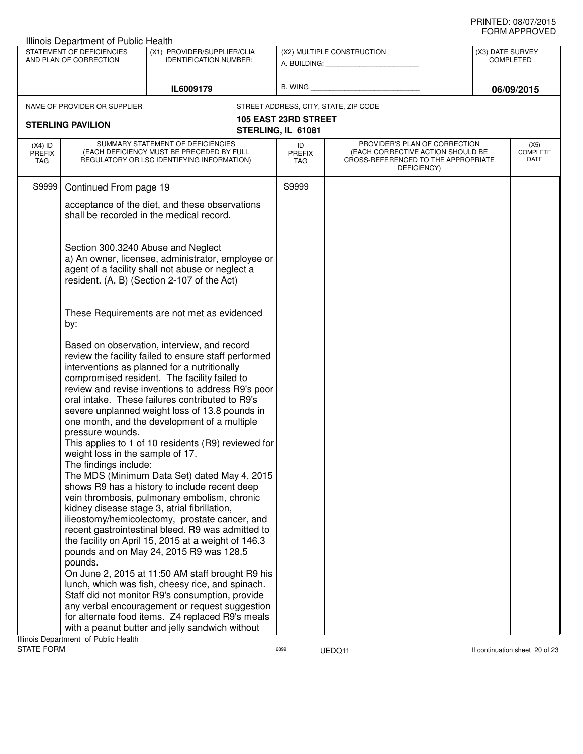| Illinois Department of Public Health                                                                                |                                                                                                                                                                                                                                                                                                                                                                                                                                                                                                                                                                                                                                                                                                                                                                                                                                                                                |                             |                                                                                                                                              |                  | ᅴᄖᄞᇊᆝᆝᇅ៴ᄂ                       |
|---------------------------------------------------------------------------------------------------------------------|--------------------------------------------------------------------------------------------------------------------------------------------------------------------------------------------------------------------------------------------------------------------------------------------------------------------------------------------------------------------------------------------------------------------------------------------------------------------------------------------------------------------------------------------------------------------------------------------------------------------------------------------------------------------------------------------------------------------------------------------------------------------------------------------------------------------------------------------------------------------------------|-----------------------------|----------------------------------------------------------------------------------------------------------------------------------------------|------------------|---------------------------------|
| STATEMENT OF DEFICIENCIES<br>(X1) PROVIDER/SUPPLIER/CLIA<br>AND PLAN OF CORRECTION<br><b>IDENTIFICATION NUMBER:</b> |                                                                                                                                                                                                                                                                                                                                                                                                                                                                                                                                                                                                                                                                                                                                                                                                                                                                                |                             | (X2) MULTIPLE CONSTRUCTION<br>A. BUILDING: A SALE AND THE SALE AND THE SALE AND THE SALE AND THE SALE AND THE SALE AND THE SALE AND THE SALE | (X3) DATE SURVEY | <b>COMPLETED</b>                |
|                                                                                                                     | IL6009179                                                                                                                                                                                                                                                                                                                                                                                                                                                                                                                                                                                                                                                                                                                                                                                                                                                                      |                             | B. WING <b>Example 2008</b>                                                                                                                  |                  | 06/09/2015                      |
| NAME OF PROVIDER OR SUPPLIER                                                                                        |                                                                                                                                                                                                                                                                                                                                                                                                                                                                                                                                                                                                                                                                                                                                                                                                                                                                                |                             | STREET ADDRESS, CITY, STATE, ZIP CODE                                                                                                        |                  |                                 |
| <b>STERLING PAVILION</b>                                                                                            |                                                                                                                                                                                                                                                                                                                                                                                                                                                                                                                                                                                                                                                                                                                                                                                                                                                                                | <b>105 EAST 23RD STREET</b> |                                                                                                                                              |                  |                                 |
|                                                                                                                     |                                                                                                                                                                                                                                                                                                                                                                                                                                                                                                                                                                                                                                                                                                                                                                                                                                                                                | STERLING, IL 61081          |                                                                                                                                              |                  |                                 |
| $(X4)$ ID<br><b>PREFIX</b><br>TAG                                                                                   | SUMMARY STATEMENT OF DEFICIENCIES<br>(EACH DEFICIENCY MUST BE PRECEDED BY FULL<br>REGULATORY OR LSC IDENTIFYING INFORMATION)                                                                                                                                                                                                                                                                                                                                                                                                                                                                                                                                                                                                                                                                                                                                                   | ID<br><b>PREFIX</b><br>TAG  | PROVIDER'S PLAN OF CORRECTION<br>(EACH CORRECTIVE ACTION SHOULD BE<br>CROSS-REFERENCED TO THE APPROPRIATE<br>DEFICIENCY)                     |                  | (X5)<br><b>COMPLETE</b><br>DATE |
| Continued From page 19<br>S9999                                                                                     |                                                                                                                                                                                                                                                                                                                                                                                                                                                                                                                                                                                                                                                                                                                                                                                                                                                                                | S9999                       |                                                                                                                                              |                  |                                 |
|                                                                                                                     | acceptance of the diet, and these observations<br>shall be recorded in the medical record.                                                                                                                                                                                                                                                                                                                                                                                                                                                                                                                                                                                                                                                                                                                                                                                     |                             |                                                                                                                                              |                  |                                 |
|                                                                                                                     | Section 300.3240 Abuse and Neglect<br>a) An owner, licensee, administrator, employee or<br>agent of a facility shall not abuse or neglect a<br>resident. (A, B) (Section 2-107 of the Act)                                                                                                                                                                                                                                                                                                                                                                                                                                                                                                                                                                                                                                                                                     |                             |                                                                                                                                              |                  |                                 |
| by:                                                                                                                 | These Requirements are not met as evidenced                                                                                                                                                                                                                                                                                                                                                                                                                                                                                                                                                                                                                                                                                                                                                                                                                                    |                             |                                                                                                                                              |                  |                                 |
| pressure wounds.<br>weight loss in the sample of 17.<br>The findings include:                                       | Based on observation, interview, and record<br>review the facility failed to ensure staff performed<br>interventions as planned for a nutritionally<br>compromised resident. The facility failed to<br>review and revise inventions to address R9's poor<br>oral intake. These failures contributed to R9's<br>severe unplanned weight loss of 13.8 pounds in<br>one month, and the development of a multiple<br>This applies to 1 of 10 residents (R9) reviewed for<br>The MDS (Minimum Data Set) dated May 4, 2015<br>shows R9 has a history to include recent deep<br>vein thrombosis, pulmonary embolism, chronic<br>kidney disease stage 3, atrial fibrillation,<br>ilieostomy/hemicolectomy, prostate cancer, and<br>recent gastrointestinal bleed. R9 was admitted to<br>the facility on April 15, 2015 at a weight of 146.3<br>pounds and on May 24, 2015 R9 was 128.5 |                             |                                                                                                                                              |                  |                                 |
| pounds.                                                                                                             | On June 2, 2015 at 11:50 AM staff brought R9 his<br>lunch, which was fish, cheesy rice, and spinach.<br>Staff did not monitor R9's consumption, provide<br>any verbal encouragement or request suggestion<br>for alternate food items. Z4 replaced R9's meals<br>with a peanut butter and jelly sandwich without                                                                                                                                                                                                                                                                                                                                                                                                                                                                                                                                                               |                             |                                                                                                                                              |                  |                                 |
| Illinois Department of Public Health                                                                                |                                                                                                                                                                                                                                                                                                                                                                                                                                                                                                                                                                                                                                                                                                                                                                                                                                                                                |                             |                                                                                                                                              |                  |                                 |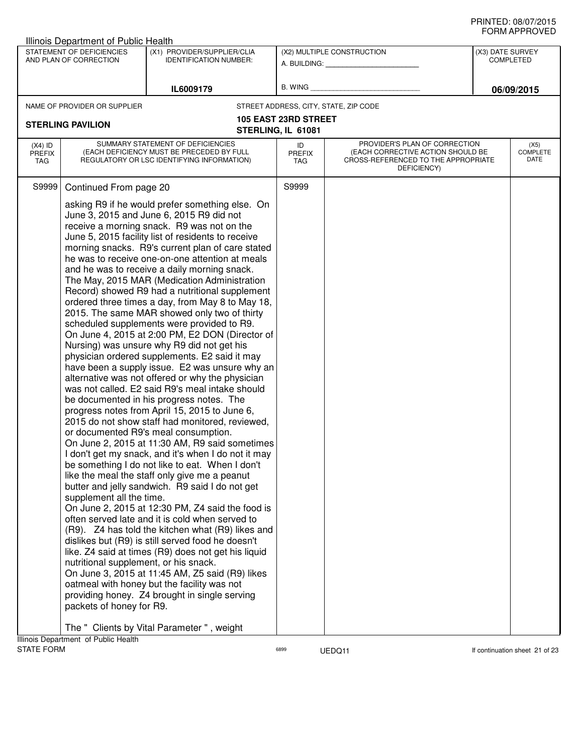| Illinois Department of Public Health                                                    |                                                                                                                                                                                                                                                                                                                                                                                                                                                                                                                                                                                                                                                                                                                                                                                                                                                                                                                                                                                                                                                                                                                                                                                                                                                                                                                                                                                                                                                                                                                                                                                                                                                                                                                                                                                                                                                                                                 |                                   |                                                                                                                          |                  | ◡੶┉灬┌┅ ┌ ┌ ┌ ∪ ∪ ∟◡             |
|-----------------------------------------------------------------------------------------|-------------------------------------------------------------------------------------------------------------------------------------------------------------------------------------------------------------------------------------------------------------------------------------------------------------------------------------------------------------------------------------------------------------------------------------------------------------------------------------------------------------------------------------------------------------------------------------------------------------------------------------------------------------------------------------------------------------------------------------------------------------------------------------------------------------------------------------------------------------------------------------------------------------------------------------------------------------------------------------------------------------------------------------------------------------------------------------------------------------------------------------------------------------------------------------------------------------------------------------------------------------------------------------------------------------------------------------------------------------------------------------------------------------------------------------------------------------------------------------------------------------------------------------------------------------------------------------------------------------------------------------------------------------------------------------------------------------------------------------------------------------------------------------------------------------------------------------------------------------------------------------------------|-----------------------------------|--------------------------------------------------------------------------------------------------------------------------|------------------|---------------------------------|
| STATEMENT OF DEFICIENCIES<br>AND PLAN OF CORRECTION                                     | (X1) PROVIDER/SUPPLIER/CLIA<br><b>IDENTIFICATION NUMBER:</b>                                                                                                                                                                                                                                                                                                                                                                                                                                                                                                                                                                                                                                                                                                                                                                                                                                                                                                                                                                                                                                                                                                                                                                                                                                                                                                                                                                                                                                                                                                                                                                                                                                                                                                                                                                                                                                    |                                   | (X2) MULTIPLE CONSTRUCTION<br>A. BUILDING: A. BUILDING:                                                                  | (X3) DATE SURVEY | <b>COMPLETED</b>                |
|                                                                                         | IL6009179                                                                                                                                                                                                                                                                                                                                                                                                                                                                                                                                                                                                                                                                                                                                                                                                                                                                                                                                                                                                                                                                                                                                                                                                                                                                                                                                                                                                                                                                                                                                                                                                                                                                                                                                                                                                                                                                                       |                                   | B. WING <b>Example 2008</b>                                                                                              |                  | 06/09/2015                      |
| NAME OF PROVIDER OR SUPPLIER                                                            |                                                                                                                                                                                                                                                                                                                                                                                                                                                                                                                                                                                                                                                                                                                                                                                                                                                                                                                                                                                                                                                                                                                                                                                                                                                                                                                                                                                                                                                                                                                                                                                                                                                                                                                                                                                                                                                                                                 |                                   | STREET ADDRESS, CITY, STATE, ZIP CODE                                                                                    |                  |                                 |
|                                                                                         |                                                                                                                                                                                                                                                                                                                                                                                                                                                                                                                                                                                                                                                                                                                                                                                                                                                                                                                                                                                                                                                                                                                                                                                                                                                                                                                                                                                                                                                                                                                                                                                                                                                                                                                                                                                                                                                                                                 | <b>105 EAST 23RD STREET</b>       |                                                                                                                          |                  |                                 |
| <b>STERLING PAVILION</b>                                                                |                                                                                                                                                                                                                                                                                                                                                                                                                                                                                                                                                                                                                                                                                                                                                                                                                                                                                                                                                                                                                                                                                                                                                                                                                                                                                                                                                                                                                                                                                                                                                                                                                                                                                                                                                                                                                                                                                                 | STERLING, IL 61081                |                                                                                                                          |                  |                                 |
| $(X4)$ ID<br><b>PREFIX</b><br><b>TAG</b>                                                | SUMMARY STATEMENT OF DEFICIENCIES<br>(EACH DEFICIENCY MUST BE PRECEDED BY FULL<br>REGULATORY OR LSC IDENTIFYING INFORMATION)                                                                                                                                                                                                                                                                                                                                                                                                                                                                                                                                                                                                                                                                                                                                                                                                                                                                                                                                                                                                                                                                                                                                                                                                                                                                                                                                                                                                                                                                                                                                                                                                                                                                                                                                                                    | ID<br><b>PREFIX</b><br><b>TAG</b> | PROVIDER'S PLAN OF CORRECTION<br>(EACH CORRECTIVE ACTION SHOULD BE<br>CROSS-REFERENCED TO THE APPROPRIATE<br>DEFICIENCY) |                  | (X5)<br><b>COMPLETE</b><br>DATE |
| S9999<br>Continued From page 20<br>supplement all the time.<br>packets of honey for R9. | asking R9 if he would prefer something else. On<br>June 3, 2015 and June 6, 2015 R9 did not<br>receive a morning snack. R9 was not on the<br>June 5, 2015 facility list of residents to receive<br>morning snacks. R9's current plan of care stated<br>he was to receive one-on-one attention at meals<br>and he was to receive a daily morning snack.<br>The May, 2015 MAR (Medication Administration<br>Record) showed R9 had a nutritional supplement<br>ordered three times a day, from May 8 to May 18,<br>2015. The same MAR showed only two of thirty<br>scheduled supplements were provided to R9.<br>On June 4, 2015 at 2:00 PM, E2 DON (Director of<br>Nursing) was unsure why R9 did not get his<br>physician ordered supplements. E2 said it may<br>have been a supply issue. E2 was unsure why an<br>alternative was not offered or why the physician<br>was not called. E2 said R9's meal intake should<br>be documented in his progress notes. The<br>progress notes from April 15, 2015 to June 6,<br>2015 do not show staff had monitored, reviewed,<br>or documented R9's meal consumption.<br>On June 2, 2015 at 11:30 AM, R9 said sometimes<br>I don't get my snack, and it's when I do not it may<br>be something I do not like to eat. When I don't<br>like the meal the staff only give me a peanut<br>butter and jelly sandwich. R9 said I do not get<br>On June 2, 2015 at 12:30 PM, Z4 said the food is<br>often served late and it is cold when served to<br>(R9). Z4 has told the kitchen what (R9) likes and<br>dislikes but (R9) is still served food he doesn't<br>like. Z4 said at times (R9) does not get his liquid<br>nutritional supplement, or his snack.<br>On June 3, 2015 at 11:45 AM, Z5 said (R9) likes<br>oatmeal with honey but the facility was not<br>providing honey. Z4 brought in single serving<br>The " Clients by Vital Parameter ", weight | S9999                             |                                                                                                                          |                  |                                 |
| Illinois Department of Public Health                                                    |                                                                                                                                                                                                                                                                                                                                                                                                                                                                                                                                                                                                                                                                                                                                                                                                                                                                                                                                                                                                                                                                                                                                                                                                                                                                                                                                                                                                                                                                                                                                                                                                                                                                                                                                                                                                                                                                                                 |                                   |                                                                                                                          |                  |                                 |
| <b>STATE FORM</b>                                                                       |                                                                                                                                                                                                                                                                                                                                                                                                                                                                                                                                                                                                                                                                                                                                                                                                                                                                                                                                                                                                                                                                                                                                                                                                                                                                                                                                                                                                                                                                                                                                                                                                                                                                                                                                                                                                                                                                                                 | 6899                              | UEDQ11                                                                                                                   |                  | If continuation sheet 21 of 23  |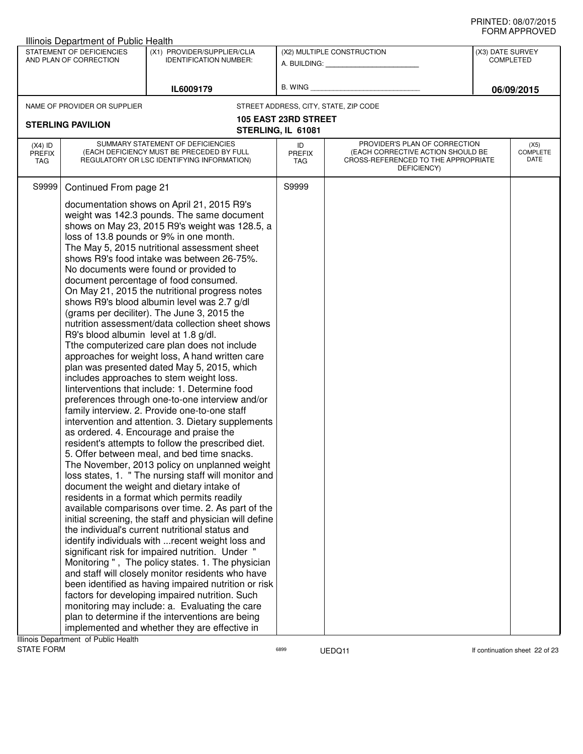|                                   | Illinois Department of Public Health                                         |                                                                                                                                                                                                                                                                                                                                                                                                                                                                                                                                                                                                                                                                                                                                                                                                                                                                                                                                                                                                                                                                                                                                                                                                                                                                                                                                                                                                                                                                                                                                                                                                                                                                                                                                                                                                                                                                                                                                                                                                  |                             |                                                                                                                          |                                      | ᅴᄖᄞᇊᆝᆝᇅ៴ᄂ                |
|-----------------------------------|------------------------------------------------------------------------------|--------------------------------------------------------------------------------------------------------------------------------------------------------------------------------------------------------------------------------------------------------------------------------------------------------------------------------------------------------------------------------------------------------------------------------------------------------------------------------------------------------------------------------------------------------------------------------------------------------------------------------------------------------------------------------------------------------------------------------------------------------------------------------------------------------------------------------------------------------------------------------------------------------------------------------------------------------------------------------------------------------------------------------------------------------------------------------------------------------------------------------------------------------------------------------------------------------------------------------------------------------------------------------------------------------------------------------------------------------------------------------------------------------------------------------------------------------------------------------------------------------------------------------------------------------------------------------------------------------------------------------------------------------------------------------------------------------------------------------------------------------------------------------------------------------------------------------------------------------------------------------------------------------------------------------------------------------------------------------------------------|-----------------------------|--------------------------------------------------------------------------------------------------------------------------|--------------------------------------|--------------------------|
|                                   | STATEMENT OF DEFICIENCIES<br>AND PLAN OF CORRECTION                          | (X1) PROVIDER/SUPPLIER/CLIA<br><b>IDENTIFICATION NUMBER:</b>                                                                                                                                                                                                                                                                                                                                                                                                                                                                                                                                                                                                                                                                                                                                                                                                                                                                                                                                                                                                                                                                                                                                                                                                                                                                                                                                                                                                                                                                                                                                                                                                                                                                                                                                                                                                                                                                                                                                     |                             | (X2) MULTIPLE CONSTRUCTION<br>A. BUILDING: A. BUILDING:                                                                  | (X3) DATE SURVEY<br><b>COMPLETED</b> |                          |
|                                   |                                                                              | IL6009179                                                                                                                                                                                                                                                                                                                                                                                                                                                                                                                                                                                                                                                                                                                                                                                                                                                                                                                                                                                                                                                                                                                                                                                                                                                                                                                                                                                                                                                                                                                                                                                                                                                                                                                                                                                                                                                                                                                                                                                        |                             | B. WING <b>Example 20</b>                                                                                                |                                      | 06/09/2015               |
|                                   | NAME OF PROVIDER OR SUPPLIER                                                 |                                                                                                                                                                                                                                                                                                                                                                                                                                                                                                                                                                                                                                                                                                                                                                                                                                                                                                                                                                                                                                                                                                                                                                                                                                                                                                                                                                                                                                                                                                                                                                                                                                                                                                                                                                                                                                                                                                                                                                                                  |                             | STREET ADDRESS, CITY, STATE, ZIP CODE                                                                                    |                                      |                          |
|                                   |                                                                              |                                                                                                                                                                                                                                                                                                                                                                                                                                                                                                                                                                                                                                                                                                                                                                                                                                                                                                                                                                                                                                                                                                                                                                                                                                                                                                                                                                                                                                                                                                                                                                                                                                                                                                                                                                                                                                                                                                                                                                                                  | <b>105 EAST 23RD STREET</b> |                                                                                                                          |                                      |                          |
|                                   | <b>STERLING PAVILION</b>                                                     |                                                                                                                                                                                                                                                                                                                                                                                                                                                                                                                                                                                                                                                                                                                                                                                                                                                                                                                                                                                                                                                                                                                                                                                                                                                                                                                                                                                                                                                                                                                                                                                                                                                                                                                                                                                                                                                                                                                                                                                                  | STERLING, IL 61081          |                                                                                                                          |                                      |                          |
| $(X4)$ ID<br><b>PREFIX</b><br>TAG |                                                                              | SUMMARY STATEMENT OF DEFICIENCIES<br>(EACH DEFICIENCY MUST BE PRECEDED BY FULL<br>REGULATORY OR LSC IDENTIFYING INFORMATION)                                                                                                                                                                                                                                                                                                                                                                                                                                                                                                                                                                                                                                                                                                                                                                                                                                                                                                                                                                                                                                                                                                                                                                                                                                                                                                                                                                                                                                                                                                                                                                                                                                                                                                                                                                                                                                                                     | ID<br><b>PREFIX</b><br>TAG  | PROVIDER'S PLAN OF CORRECTION<br>(EACH CORRECTIVE ACTION SHOULD BE<br>CROSS-REFERENCED TO THE APPROPRIATE<br>DEFICIENCY) |                                      | (X5)<br>COMPLETE<br>DATE |
| S9999                             | Continued From page 21                                                       |                                                                                                                                                                                                                                                                                                                                                                                                                                                                                                                                                                                                                                                                                                                                                                                                                                                                                                                                                                                                                                                                                                                                                                                                                                                                                                                                                                                                                                                                                                                                                                                                                                                                                                                                                                                                                                                                                                                                                                                                  | S9999                       |                                                                                                                          |                                      |                          |
|                                   | R9's blood albumin level at 1.8 g/dl.<br>Ilinois Department of Public Health | documentation shows on April 21, 2015 R9's<br>weight was 142.3 pounds. The same document<br>shows on May 23, 2015 R9's weight was 128.5, a<br>loss of 13.8 pounds or 9% in one month.<br>The May 5, 2015 nutritional assessment sheet<br>shows R9's food intake was between 26-75%.<br>No documents were found or provided to<br>document percentage of food consumed.<br>On May 21, 2015 the nutritional progress notes<br>shows R9's blood albumin level was 2.7 g/dl<br>(grams per deciliter). The June 3, 2015 the<br>nutrition assessment/data collection sheet shows<br>Tthe computerized care plan does not include<br>approaches for weight loss, A hand written care<br>plan was presented dated May 5, 2015, which<br>includes approaches to stem weight loss.<br>linterventions that include: 1. Determine food<br>preferences through one-to-one interview and/or<br>family interview. 2. Provide one-to-one staff<br>intervention and attention. 3. Dietary supplements<br>as ordered. 4. Encourage and praise the<br>resident's attempts to follow the prescribed diet.<br>5. Offer between meal, and bed time snacks.<br>The November, 2013 policy on unplanned weight<br>loss states, 1. " The nursing staff will monitor and<br>document the weight and dietary intake of<br>residents in a format which permits readily<br>available comparisons over time. 2. As part of the<br>initial screening, the staff and physician will define<br>the individual's current nutritional status and<br>identify individuals with  recent weight loss and<br>significant risk for impaired nutrition. Under "<br>Monitoring", The policy states. 1. The physician<br>and staff will closely monitor residents who have<br>been identified as having impaired nutrition or risk<br>factors for developing impaired nutrition. Such<br>monitoring may include: a. Evaluating the care<br>plan to determine if the interventions are being<br>implemented and whether they are effective in |                             |                                                                                                                          |                                      |                          |